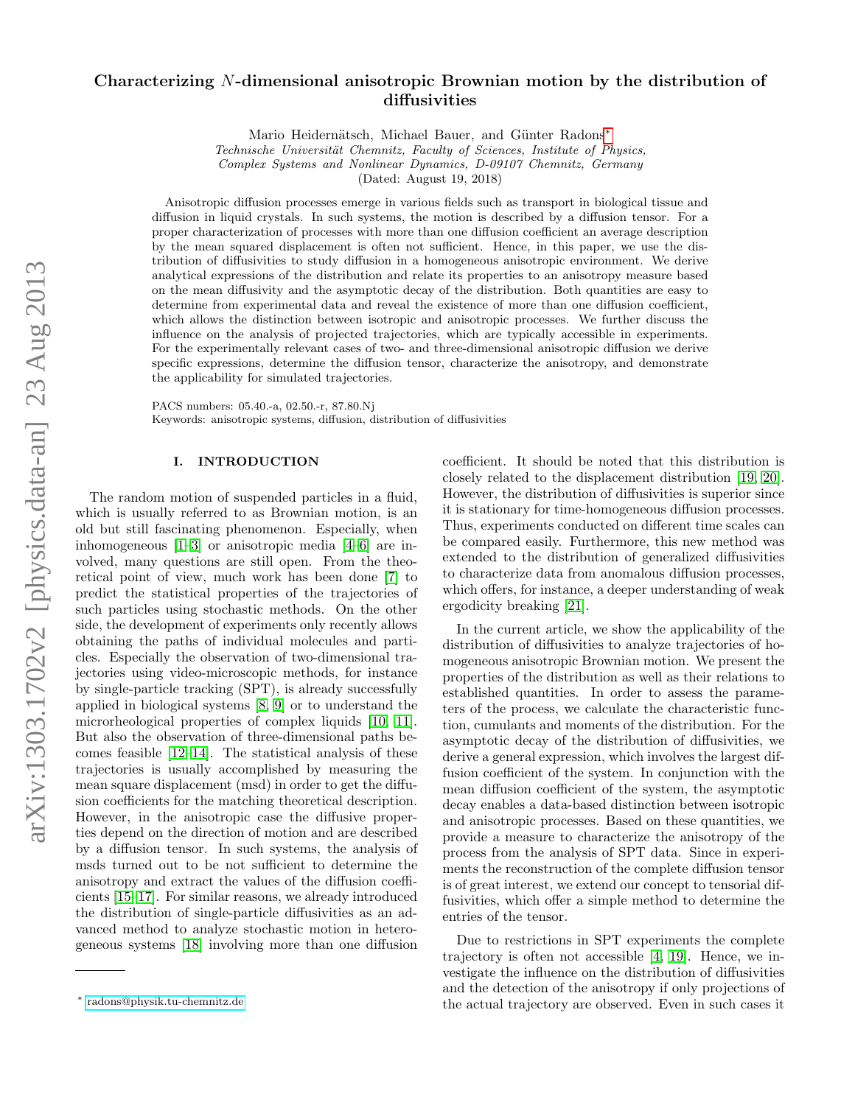# arXiv:1303.1702v2 [physics.data-an] 23 Aug 2013 arXiv:1303.1702v2 [physics.data-an] 23 Aug 2013

# Characterizing N-dimensional anisotropic Brownian motion by the distribution of diffusivities

Mario Heidernätsch, Michael Bauer, and Günter Radons<sup>\*</sup>

Technische Universität Chemnitz, Faculty of Sciences, Institute of Physics, Complex Systems and Nonlinear Dynamics, D-09107 Chemnitz, Germany

(Dated: August 19, 2018)

Anisotropic diffusion processes emerge in various fields such as transport in biological tissue and diffusion in liquid crystals. In such systems, the motion is described by a diffusion tensor. For a proper characterization of processes with more than one diffusion coefficient an average description by the mean squared displacement is often not sufficient. Hence, in this paper, we use the distribution of diffusivities to study diffusion in a homogeneous anisotropic environment. We derive analytical expressions of the distribution and relate its properties to an anisotropy measure based on the mean diffusivity and the asymptotic decay of the distribution. Both quantities are easy to determine from experimental data and reveal the existence of more than one diffusion coefficient, which allows the distinction between isotropic and anisotropic processes. We further discuss the influence on the analysis of projected trajectories, which are typically accessible in experiments. For the experimentally relevant cases of two- and three-dimensional anisotropic diffusion we derive specific expressions, determine the diffusion tensor, characterize the anisotropy, and demonstrate the applicability for simulated trajectories.

PACS numbers: 05.40.-a, 02.50.-r, 87.80.Nj Keywords: anisotropic systems, diffusion, distribution of diffusivities

# I. INTRODUCTION

The random motion of suspended particles in a fluid, which is usually referred to as Brownian motion, is an old but still fascinating phenomenon. Especially, when inhomogeneous [\[1–](#page-13-0)[3\]](#page-13-1) or anisotropic media [\[4–](#page-13-2)[6\]](#page-13-3) are involved, many questions are still open. From the theoretical point of view, much work has been done [\[7\]](#page-13-4) to predict the statistical properties of the trajectories of such particles using stochastic methods. On the other side, the development of experiments only recently allows obtaining the paths of individual molecules and particles. Especially the observation of two-dimensional trajectories using video-microscopic methods, for instance by single-particle tracking (SPT), is already successfully applied in biological systems [\[8,](#page-13-5) [9\]](#page-13-6) or to understand the microrheological properties of complex liquids [\[10,](#page-13-7) [11\]](#page-13-8). But also the observation of three-dimensional paths becomes feasible [\[12–](#page-13-9)[14\]](#page-13-10). The statistical analysis of these trajectories is usually accomplished by measuring the mean square displacement (msd) in order to get the diffusion coefficients for the matching theoretical description. However, in the anisotropic case the diffusive properties depend on the direction of motion and are described by a diffusion tensor. In such systems, the analysis of msds turned out to be not sufficient to determine the anisotropy and extract the values of the diffusion coefficients [\[15–](#page-13-11)[17\]](#page-13-12). For similar reasons, we already introduced the distribution of single-particle diffusivities as an advanced method to analyze stochastic motion in heterogeneous systems [\[18\]](#page-13-13) involving more than one diffusion

coefficient. It should be noted that this distribution is closely related to the displacement distribution [\[19,](#page-13-14) [20\]](#page-13-15). However, the distribution of diffusivities is superior since it is stationary for time-homogeneous diffusion processes. Thus, experiments conducted on different time scales can be compared easily. Furthermore, this new method was extended to the distribution of generalized diffusivities to characterize data from anomalous diffusion processes, which offers, for instance, a deeper understanding of weak ergodicity breaking [\[21\]](#page-13-16).

In the current article, we show the applicability of the distribution of diffusivities to analyze trajectories of homogeneous anisotropic Brownian motion. We present the properties of the distribution as well as their relations to established quantities. In order to assess the parameters of the process, we calculate the characteristic function, cumulants and moments of the distribution. For the asymptotic decay of the distribution of diffusivities, we derive a general expression, which involves the largest diffusion coefficient of the system. In conjunction with the mean diffusion coefficient of the system, the asymptotic decay enables a data-based distinction between isotropic and anisotropic processes. Based on these quantities, we provide a measure to characterize the anisotropy of the process from the analysis of SPT data. Since in experiments the reconstruction of the complete diffusion tensor is of great interest, we extend our concept to tensorial diffusivities, which offer a simple method to determine the entries of the tensor.

Due to restrictions in SPT experiments the complete trajectory is often not accessible [\[4,](#page-13-2) [19\]](#page-13-14). Hence, we investigate the influence on the distribution of diffusivities and the detection of the anisotropy if only projections of the actual trajectory are observed. Even in such cases it

<span id="page-0-0"></span><sup>∗</sup> [radons@physik.tu-chemnitz.de](mailto:radons@physik.tu-chemnitz.de)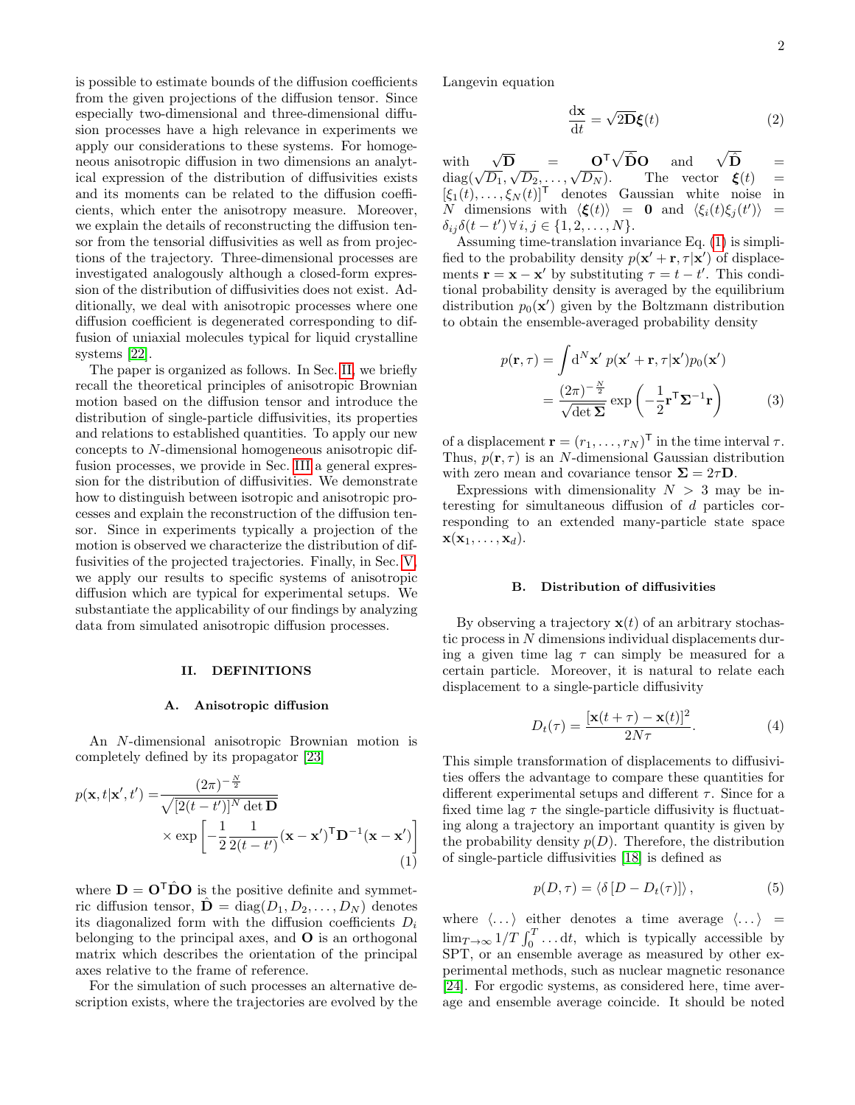is possible to estimate bounds of the diffusion coefficients from the given projections of the diffusion tensor. Since especially two-dimensional and three-dimensional diffusion processes have a high relevance in experiments we apply our considerations to these systems. For homogeneous anisotropic diffusion in two dimensions an analytical expression of the distribution of diffusivities exists and its moments can be related to the diffusion coefficients, which enter the anisotropy measure. Moreover, we explain the details of reconstructing the diffusion tensor from the tensorial diffusivities as well as from projections of the trajectory. Three-dimensional processes are investigated analogously although a closed-form expression of the distribution of diffusivities does not exist. Additionally, we deal with anisotropic processes where one diffusion coefficient is degenerated corresponding to diffusion of uniaxial molecules typical for liquid crystalline systems [\[22\]](#page-13-17).

The paper is organized as follows. In Sec. [II,](#page-1-0) we briefly recall the theoretical principles of anisotropic Brownian motion based on the diffusion tensor and introduce the distribution of single-particle diffusivities, its properties and relations to established quantities. To apply our new concepts to N-dimensional homogeneous anisotropic diffusion processes, we provide in Sec. [III](#page-2-0) a general expression for the distribution of diffusivities. We demonstrate how to distinguish between isotropic and anisotropic processes and explain the reconstruction of the diffusion tensor. Since in experiments typically a projection of the motion is observed we characterize the distribution of diffusivities of the projected trajectories. Finally, in Sec. [V,](#page-5-0) we apply our results to specific systems of anisotropic diffusion which are typical for experimental setups. We substantiate the applicability of our findings by analyzing data from simulated anisotropic diffusion processes.

# <span id="page-1-0"></span>II. DEFINITIONS

### A. Anisotropic diffusion

An N-dimensional anisotropic Brownian motion is completely defined by its propagator [\[23\]](#page-13-18)

$$
p(\mathbf{x}, t | \mathbf{x}', t') = \frac{(2\pi)^{-\frac{N}{2}}}{\sqrt{[2(t - t')]^{N} \det \mathbf{D}}}
$$

$$
\times \exp\left[-\frac{1}{2} \frac{1}{2(t - t')} (\mathbf{x} - \mathbf{x}')^{\mathsf{T}} \mathbf{D}^{-1} (\mathbf{x} - \mathbf{x}')\right]
$$
(1)

where  $\mathbf{D} = \mathbf{O}^{\mathsf{T}} \hat{\mathbf{D}} \mathbf{O}$  is the positive definite and symmetric diffusion tensor,  $\hat{\mathbf{D}} = \text{diag}(D_1, D_2, \dots, D_N)$  denotes its diagonalized form with the diffusion coefficients  $D_i$ belonging to the principal axes, and  $\bf{O}$  is an orthogonal matrix which describes the orientation of the principal axes relative to the frame of reference.

For the simulation of such processes an alternative description exists, where the trajectories are evolved by the Langevin equation

<span id="page-1-5"></span>
$$
\frac{\mathrm{d}\mathbf{x}}{\mathrm{d}t} = \sqrt{2\mathbf{D}}\boldsymbol{\xi}(t) \tag{2}
$$

with  $\sqrt{\mathbf{D}}$  =  $\mathbf{O}^{\mathsf{T}}\sqrt{\hat{\mathbf{D}}}\mathbf{O}$  and  $\sqrt{\hat{\mathbf{D}}}$  =  $\text{diag}(\sqrt{D_1}, \sqrt{D_2}, \dots, \sqrt{D_N})$ . The vector  $\xi(t)$  =  $[\xi_1(t), \ldots, \xi_N(t)]^{\mathsf{T}}$  denotes Gaussian white noise in N dimensions with  $\langle \boldsymbol{\xi}(t) \rangle = 0$  and  $\langle \xi_i(t) \xi_j(t') \rangle =$  $\delta_{ij}\delta(t-t')\,\forall\,i,j\in\{1,2,\ldots,N\}.$ 

Assuming time-translation invariance Eq. [\(1\)](#page-1-1) is simplified to the probability density  $p(\mathbf{x}' + \mathbf{r}, \tau | \mathbf{x}')$  of displacements  $\mathbf{r} = \mathbf{x} - \mathbf{x}'$  by substituting  $\tau = t - t'$ . This conditional probability density is averaged by the equilibrium distribution  $p_0(\mathbf{x}')$  given by the Boltzmann distribution to obtain the ensemble-averaged probability density

<span id="page-1-4"></span>
$$
p(\mathbf{r}, \tau) = \int d^N \mathbf{x}' \ p(\mathbf{x}' + \mathbf{r}, \tau | \mathbf{x}') p_0(\mathbf{x}')
$$

$$
= \frac{(2\pi)^{-\frac{N}{2}}}{\sqrt{\det \Sigma}} \exp\left(-\frac{1}{2}\mathbf{r}^\top \Sigma^{-1} \mathbf{r}\right) \tag{3}
$$

of a displacement  $\mathbf{r} = (r_1, \dots, r_N)^\mathsf{T}$  in the time interval  $\tau$ . Thus,  $p(\mathbf{r}, \tau)$  is an N-dimensional Gaussian distribution with zero mean and covariance tensor  $\Sigma = 2\tau \mathbf{D}$ .

Expressions with dimensionality  $N > 3$  may be interesting for simultaneous diffusion of d particles corresponding to an extended many-particle state space  $\mathbf{x}(\mathbf{x}_1,\ldots,\mathbf{x}_d).$ 

### B. Distribution of diffusivities

By observing a trajectory  $\mathbf{x}(t)$  of an arbitrary stochastic process in N dimensions individual displacements during a given time lag  $\tau$  can simply be measured for a certain particle. Moreover, it is natural to relate each displacement to a single-particle diffusivity

<span id="page-1-3"></span>
$$
D_t(\tau) = \frac{[\mathbf{x}(t+\tau) - \mathbf{x}(t)]^2}{2N\tau}.
$$
 (4)

This simple transformation of displacements to diffusivities offers the advantage to compare these quantities for different experimental setups and different  $\tau$ . Since for a fixed time lag  $\tau$  the single-particle diffusivity is fluctuating along a trajectory an important quantity is given by the probability density  $p(D)$ . Therefore, the distribution of single-particle diffusivities [\[18\]](#page-13-13) is defined as

<span id="page-1-2"></span>
$$
p(D, \tau) = \langle \delta [D - D_t(\tau)] \rangle, \qquad (5)
$$

<span id="page-1-1"></span>where  $\langle \dots \rangle$  either denotes a time average  $\langle \dots \rangle$  =  $\lim_{T\to\infty} 1/T \int_0^T \dots dt$ , which is typically accessible by SPT, or an ensemble average as measured by other experimental methods, such as nuclear magnetic resonance [\[24\]](#page-13-19). For ergodic systems, as considered here, time average and ensemble average coincide. It should be noted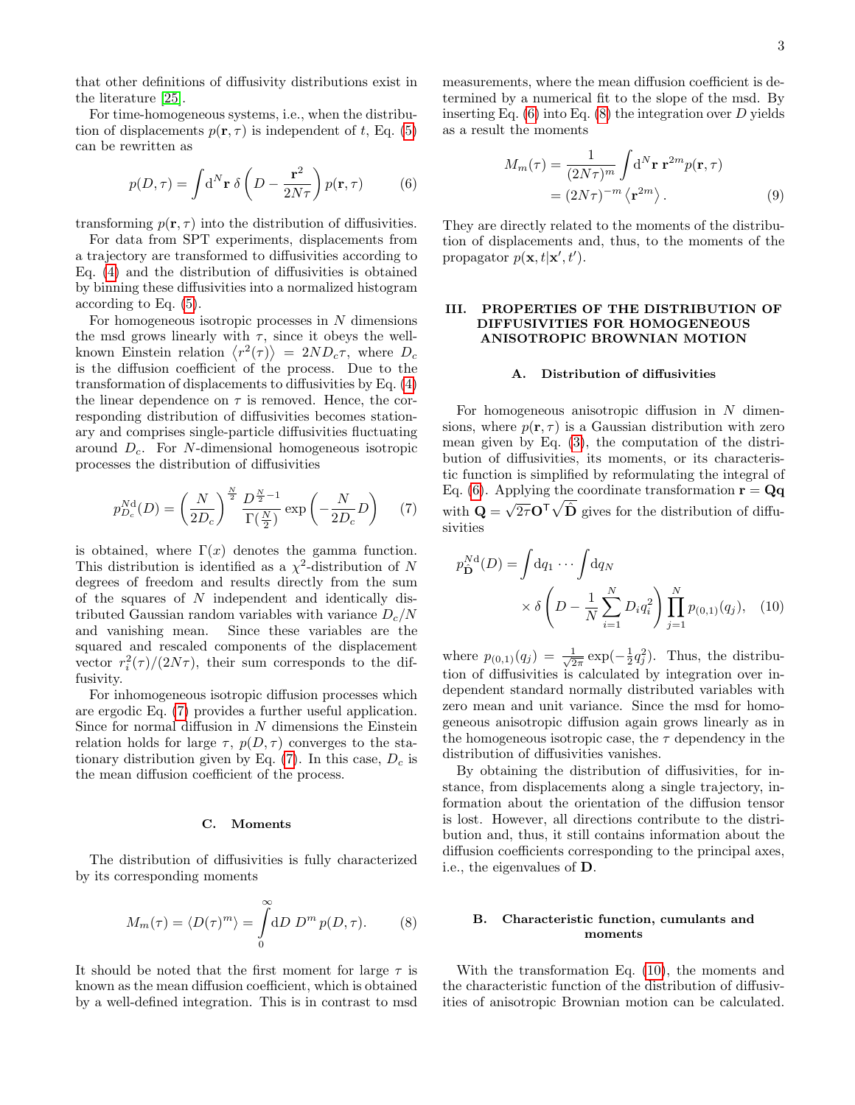that other definitions of diffusivity distributions exist in the literature [\[25\]](#page-13-20).

For time-homogeneous systems, i.e., when the distribution of displacements  $p(\mathbf{r}, \tau)$  is independent of t, Eq. [\(5\)](#page-1-2) can be rewritten as

<span id="page-2-2"></span>
$$
p(D,\tau) = \int d^N \mathbf{r} \, \delta \left( D - \frac{\mathbf{r}^2}{2N\tau} \right) p(\mathbf{r}, \tau) \tag{6}
$$

transforming  $p(\mathbf{r}, \tau)$  into the distribution of diffusivities.

For data from SPT experiments, displacements from a trajectory are transformed to diffusivities according to Eq. [\(4\)](#page-1-3) and the distribution of diffusivities is obtained by binning these diffusivities into a normalized histogram according to Eq. [\(5\)](#page-1-2).

For homogeneous isotropic processes in  $N$  dimensions the msd grows linearly with  $\tau$ , since it obeys the wellknown Einstein relation  $\langle r^2(\tau) \rangle = 2ND_c\tau$ , where  $D_c$ is the diffusion coefficient of the process. Due to the transformation of displacements to diffusivities by Eq. [\(4\)](#page-1-3) the linear dependence on  $\tau$  is removed. Hence, the corresponding distribution of diffusivities becomes stationary and comprises single-particle diffusivities fluctuating around  $D<sub>c</sub>$ . For N-dimensional homogeneous isotropic processes the distribution of diffusivities

<span id="page-2-1"></span>
$$
p_{D_c}^{\text{Nd}}(D) = \left(\frac{N}{2D_c}\right)^{\frac{N}{2}} \frac{D^{\frac{N}{2}-1}}{\Gamma(\frac{N}{2})} \exp\left(-\frac{N}{2D_c}D\right) \tag{7}
$$

is obtained, where  $\Gamma(x)$  denotes the gamma function. This distribution is identified as a  $\chi^2$ -distribution of N degrees of freedom and results directly from the sum of the squares of N independent and identically distributed Gaussian random variables with variance  $D_c/N$ and vanishing mean. Since these variables are the squared and rescaled components of the displacement vector  $r_i^2(\tau)/(2N\tau)$ , their sum corresponds to the diffusivity.

For inhomogeneous isotropic diffusion processes which are ergodic Eq. [\(7\)](#page-2-1) provides a further useful application. Since for normal diffusion in  $N$  dimensions the Einstein relation holds for large  $\tau$ ,  $p(D, \tau)$  converges to the stationary distribution given by Eq.  $(7)$ . In this case,  $D_c$  is the mean diffusion coefficient of the process.

### C. Moments

The distribution of diffusivities is fully characterized by its corresponding moments

<span id="page-2-3"></span>
$$
M_m(\tau) = \langle D(\tau)^m \rangle = \int_0^\infty dD D^m p(D, \tau). \tag{8}
$$

It should be noted that the first moment for large  $\tau$  is known as the mean diffusion coefficient, which is obtained by a well-defined integration. This is in contrast to msd measurements, where the mean diffusion coefficient is determined by a numerical fit to the slope of the msd. By inserting Eq.  $(6)$  into Eq.  $(8)$  the integration over D yields as a result the moments

$$
M_m(\tau) = \frac{1}{(2N\tau)^m} \int d^N \mathbf{r} \, \mathbf{r}^{2m} p(\mathbf{r}, \tau)
$$
  
=  $(2N\tau)^{-m} \langle \mathbf{r}^{2m} \rangle$ . (9)

They are directly related to the moments of the distribution of displacements and, thus, to the moments of the propagator  $p(\mathbf{x}, t | \mathbf{x}', t')$ .

# <span id="page-2-0"></span>III. PROPERTIES OF THE DISTRIBUTION OF DIFFUSIVITIES FOR HOMOGENEOUS ANISOTROPIC BROWNIAN MOTION

### A. Distribution of diffusivities

For homogeneous anisotropic diffusion in  $N$  dimensions, where  $p(\mathbf{r}, \tau)$  is a Gaussian distribution with zero mean given by Eq. [\(3\)](#page-1-4), the computation of the distribution of diffusivities, its moments, or its characteristic function is simplified by reformulating the integral of Eq. [\(6\)](#page-2-2). Applying the coordinate transformation  $\mathbf{r} = \mathbf{Q}\mathbf{q}$ with  $\mathbf{Q} =$  $\sqrt{2\tau}\mathbf{O}^{\mathsf{T}}\sqrt{\hat{\mathbf{D}}}$  gives for the distribution of diffusivities

<span id="page-2-4"></span>
$$
p_{\mathbf{D}}^{N\mathbf{d}}(D) = \int \mathrm{d}q_1 \cdots \int \mathrm{d}q_N
$$
  
 
$$
\times \delta \left( D - \frac{1}{N} \sum_{i=1}^{N} D_i q_i^2 \right) \prod_{j=1}^{N} p_{(0,1)}(q_j), \quad (10)
$$

where  $p_{(0,1)}(q_j) = \frac{1}{\sqrt{2}}$  $\frac{1}{2\pi} \exp(-\frac{1}{2}q_j^2)$ . Thus, the distribution of diffusivities is calculated by integration over independent standard normally distributed variables with zero mean and unit variance. Since the msd for homogeneous anisotropic diffusion again grows linearly as in the homogeneous isotropic case, the  $\tau$  dependency in the distribution of diffusivities vanishes.

By obtaining the distribution of diffusivities, for instance, from displacements along a single trajectory, information about the orientation of the diffusion tensor is lost. However, all directions contribute to the distribution and, thus, it still contains information about the diffusion coefficients corresponding to the principal axes, i.e., the eigenvalues of D.

# B. Characteristic function, cumulants and moments

With the transformation Eq. [\(10\)](#page-2-4), the moments and the characteristic function of the distribution of diffusivities of anisotropic Brownian motion can be calculated.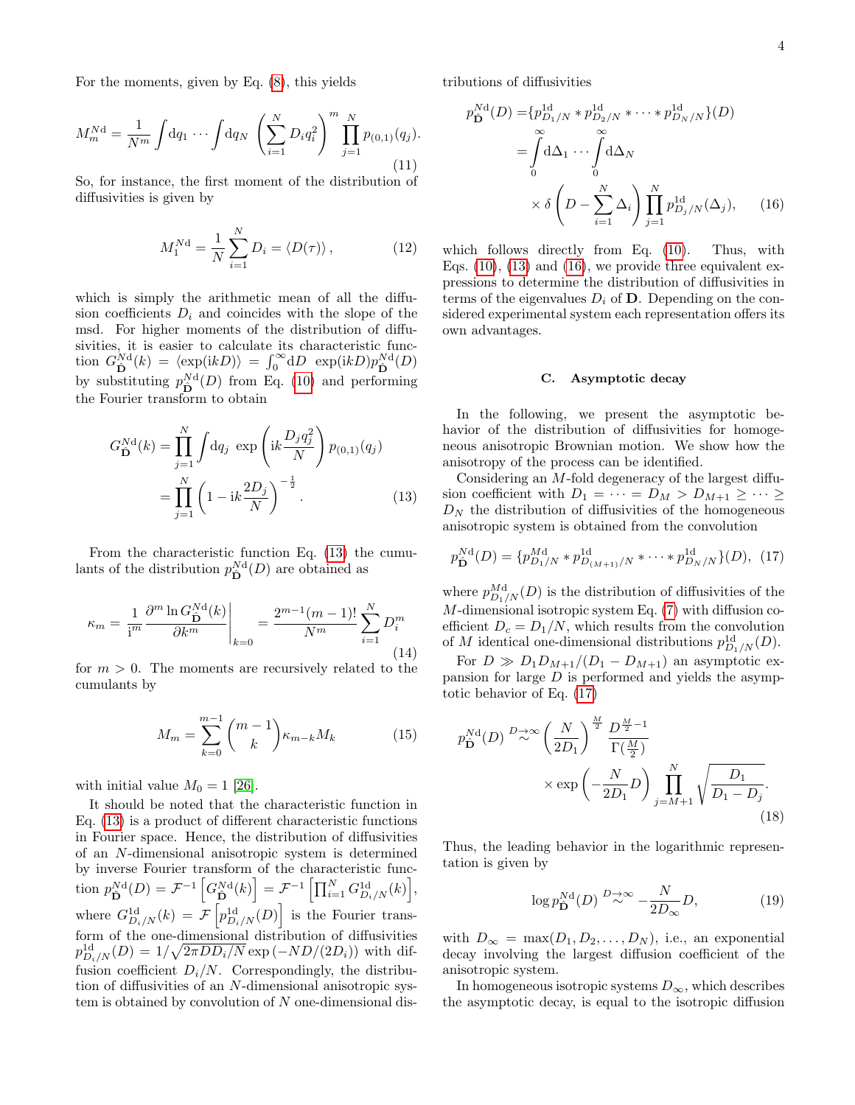For the moments, given by Eq. [\(8\)](#page-2-3), this yields

$$
M_m^{N\mathbf{d}} = \frac{1}{N^m} \int \mathrm{d}q_1 \cdots \int \mathrm{d}q_N \left( \sum_{i=1}^N D_i q_i^2 \right)^m \prod_{j=1}^N p_{(0,1)}(q_j).
$$
\n(11)

So, for instance, the first moment of the distribution of diffusivities is given by

<span id="page-3-3"></span>
$$
M_1^{Nd} = \frac{1}{N} \sum_{i=1}^{N} D_i = \langle D(\tau) \rangle, \qquad (12)
$$

which is simply the arithmetic mean of all the diffusion coefficients  $D_i$  and coincides with the slope of the msd. For higher moments of the distribution of diffusivities, it is easier to calculate its characteristic function  $G_{\hat{\mathbf{D}}}^{Nd}(k) = \langle \exp(ikD) \rangle = \int_0^\infty dD \exp(ikD)p_{\hat{\mathbf{D}}}^{Nd}(D)$ by substituting  $p_{\hat{\mathbf{D}}}^{\text{Nd}}(D)$  from Eq. [\(10\)](#page-2-4) and performing the Fourier transform to obtain

$$
G_{\mathbf{D}}^{N\mathbf{d}}(k) = \prod_{j=1}^{N} \int dq_j \, \exp\left(ik \frac{D_j q_j^2}{N}\right) p_{(0,1)}(q_j) \\
= \prod_{j=1}^{N} \left(1 - ik \frac{2D_j}{N}\right)^{-\frac{1}{2}}.\n\tag{13}
$$

From the characteristic function Eq. [\(13\)](#page-3-0) the cumulants of the distribution  $p_{\hat{\mathbf{D}}}^{\text{Nd}}(D)$  are obtained as

<span id="page-3-5"></span>
$$
\kappa_m = \frac{1}{\mathrm{i}^m} \frac{\partial^m \ln G_{\hat{\mathbf{D}}}^{\mathrm{Nd}}(k)}{\partial k^m} \bigg|_{k=0} = \frac{2^{m-1} (m-1)!}{N^m} \sum_{i=1}^N D_i^m \tag{14}
$$

for  $m > 0$ . The moments are recursively related to the cumulants by

<span id="page-3-6"></span>
$$
M_m = \sum_{k=0}^{m-1} {m-1 \choose k} \kappa_{m-k} M_k \tag{15}
$$

with initial value  $M_0 = 1$  [\[26\]](#page-13-21).

It should be noted that the characteristic function in Eq. [\(13\)](#page-3-0) is a product of different characteristic functions in Fourier space. Hence, the distribution of diffusivities of an N-dimensional anisotropic system is determined by inverse Fourier transform of the characteristic func- $\text{tion } p_{\hat{\mathbf{D}}}^{N\text{d}}(D) = \mathcal{F}^{-1}\left[G_{\hat{\mathbf{D}}}^{N\text{d}}(k)\right] = \mathcal{F}^{-1}\left[\prod_{i=1}^N G_{D_i/N}^{1\text{d}}(k)\right],$ where  $G_{D_i/N}^{\text{1d}}(k) = \mathcal{F}\left[p_{D_i/N}^{\text{1d}}(D)\right]$  is the Fourier transform of the one-dimensional distribution of diffusivities  $p_{D_i/N}^{\rm 1d}(D)=1/\sqrt{2\pi D D_i/N} \exp(-N D/(2 D_i))$  with diffusion coefficient  $D_i/N$ . Correspondingly, the distribution of diffusivities of an N-dimensional anisotropic system is obtained by convolution of N one-dimensional distributions of diffusivities

$$
p_{\hat{\mathbf{D}}}^{Nd}(D) = \{p_{D_1/N}^{1d} * p_{D_2/N}^{1d} * \cdots * p_{D_N/N}^{1d}\}(D)
$$
  
= 
$$
\int_{0}^{\infty} d\Delta_1 \cdots \int_{0}^{\infty} d\Delta_N
$$
  

$$
\times \delta \left(D - \sum_{i=1}^{N} \Delta_i \right) \prod_{j=1}^{N} p_{D_j/N}^{1d}(\Delta_j), \qquad (16)
$$

which follows directly from Eq. [\(10\)](#page-2-4). Thus, with Eqs.  $(10)$ ,  $(13)$  and  $(16)$ , we provide three equivalent expressions to determine the distribution of diffusivities in terms of the eigenvalues  $D_i$  of **D**. Depending on the considered experimental system each representation offers its own advantages.

# <span id="page-3-1"></span>C. Asymptotic decay

In the following, we present the asymptotic behavior of the distribution of diffusivities for homogeneous anisotropic Brownian motion. We show how the anisotropy of the process can be identified.

<span id="page-3-0"></span>Considering an M-fold degeneracy of the largest diffusion coefficient with  $D_1 = \cdots = D_M > D_{M+1} \geq \cdots \geq$  $D<sub>N</sub>$  the distribution of diffusivities of the homogeneous anisotropic system is obtained from the convolution

<span id="page-3-2"></span>
$$
p_{\hat{\mathbf{D}}}^{\mathbf{N}\mathbf{d}}(D) = \{p_{D_1/N}^{\mathbf{M}\mathbf{d}} * p_{D_{(M+1)}/N}^{\mathbf{1}\mathbf{d}} * \cdots * p_{D_N/N}^{\mathbf{1}\mathbf{d}}\}(D), (17)
$$

where  $p_{D_1/N}^{Md}(D)$  is the distribution of diffusivities of the  $M$ -dimensional isotropic system Eq.  $(7)$  with diffusion coefficient  $D_c = D_1/N$ , which results from the convolution of M identical one-dimensional distributions  $p_{D_1/N}^{\rm 1d}(D)$ .

For  $D \gg D_1D_{M+1}/(D_1 - D_{M+1})$  an asymptotic expansion for large  $D$  is performed and yields the asymptotic behavior of Eq. [\(17\)](#page-3-2)

$$
p_{\mathbf{D}}^{\mathbf{N}\mathbf{d}}(D) \stackrel{D \to \infty}{\sim} \left(\frac{N}{2D_1}\right)^{\frac{M}{2}} \frac{D^{\frac{M}{2}-1}}{\Gamma(\frac{M}{2})}
$$

$$
\times \exp\left(-\frac{N}{2D_1}D\right) \prod_{j=M+1}^{N} \sqrt{\frac{D_1}{D_1 - D_j}}.
$$
(18)

Thus, the leading behavior in the logarithmic representation is given by

<span id="page-3-4"></span>
$$
\log p_{\hat{\mathbf{D}}}^{N\mathrm{d}}(D) \stackrel{D \to \infty}{\sim} -\frac{N}{2D_{\infty}}D,\tag{19}
$$

with  $D_{\infty} = \max(D_1, D_2, \ldots, D_N)$ , i.e., an exponential decay involving the largest diffusion coefficient of the anisotropic system.

In homogeneous isotropic systems  $D_{\infty}$ , which describes the asymptotic decay, is equal to the isotropic diffusion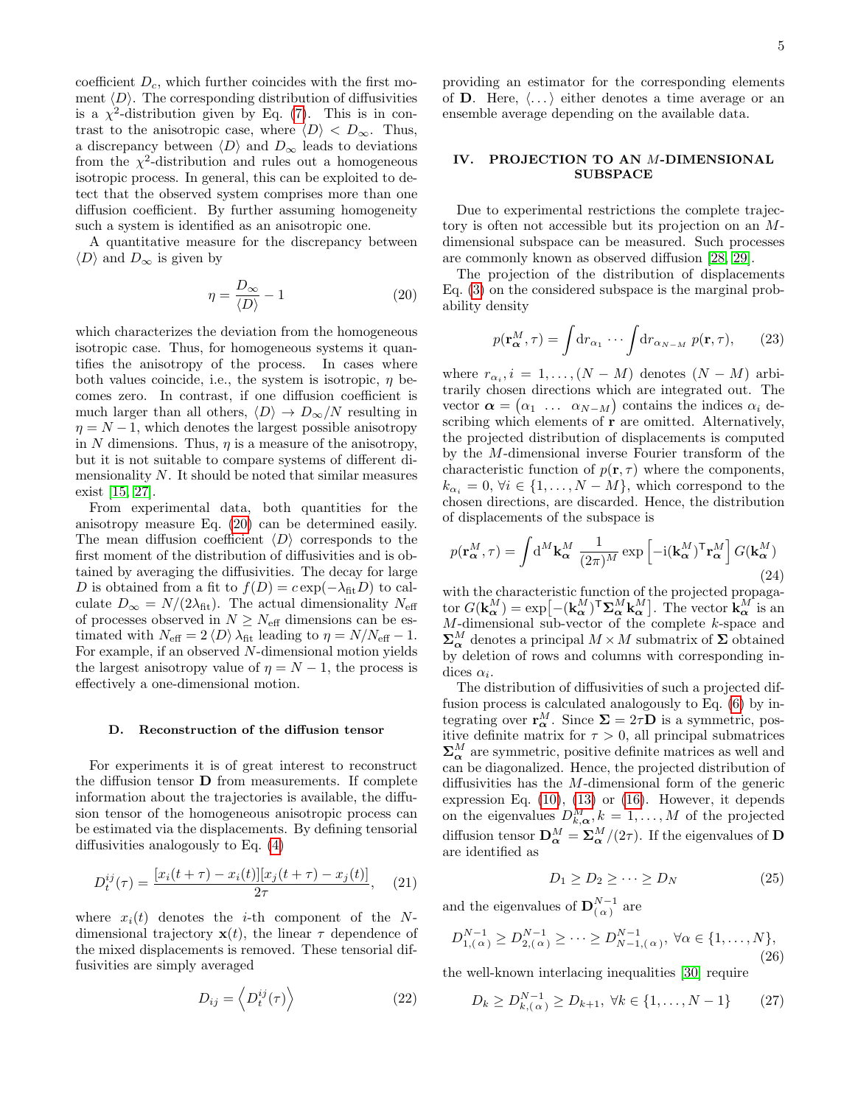coefficient  $D_c$ , which further coincides with the first moment  $\langle D \rangle$ . The corresponding distribution of diffusivities is a  $\chi^2$ -distribution given by Eq. [\(7\)](#page-2-1). This is in contrast to the anisotropic case, where  $\langle D \rangle$  <  $D_{\infty}$ . Thus, a discrepancy between  $\langle D \rangle$  and  $D_{\infty}$  leads to deviations from the  $\chi^2$ -distribution and rules out a homogeneous isotropic process. In general, this can be exploited to detect that the observed system comprises more than one diffusion coefficient. By further assuming homogeneity such a system is identified as an anisotropic one.

A quantitative measure for the discrepancy between  $\langle D \rangle$  and  $D_{\infty}$  is given by

<span id="page-4-0"></span>
$$
\eta = \frac{D_{\infty}}{\langle D \rangle} - 1\tag{20}
$$

which characterizes the deviation from the homogeneous isotropic case. Thus, for homogeneous systems it quantifies the anisotropy of the process. In cases where both values coincide, i.e., the system is isotropic,  $\eta$  becomes zero. In contrast, if one diffusion coefficient is much larger than all others,  $\langle D \rangle \to D_{\infty}/N$  resulting in  $\eta = N - 1$ , which denotes the largest possible anisotropy in N dimensions. Thus,  $\eta$  is a measure of the anisotropy, but it is not suitable to compare systems of different dimensionality  $N$ . It should be noted that similar measures exist [\[15,](#page-13-11) [27\]](#page-13-22).

From experimental data, both quantities for the anisotropy measure Eq. [\(20\)](#page-4-0) can be determined easily. The mean diffusion coefficient  $\langle D \rangle$  corresponds to the first moment of the distribution of diffusivities and is obtained by averaging the diffusivities. The decay for large D is obtained from a fit to  $f(D) = c \exp(-\lambda_{\text{fit}}D)$  to calculate  $D_{\infty} = N/(2\lambda_{\text{fit}})$ . The actual dimensionality  $N_{\text{eff}}$ of processes observed in  $N \geq N_{\text{eff}}$  dimensions can be estimated with  $N_{\text{eff}} = 2 \langle D \rangle \lambda_{\text{fit}}$  leading to  $\eta = N/N_{\text{eff}} - 1$ . For example, if an observed N-dimensional motion yields the largest anisotropy value of  $\eta = N - 1$ , the process is effectively a one-dimensional motion.

# D. Reconstruction of the diffusion tensor

For experiments it is of great interest to reconstruct the diffusion tensor D from measurements. If complete information about the trajectories is available, the diffusion tensor of the homogeneous anisotropic process can be estimated via the displacements. By defining tensorial diffusivities analogously to Eq. [\(4\)](#page-1-3)

<span id="page-4-2"></span>
$$
D_t^{ij}(\tau) = \frac{[x_i(t+\tau) - x_i(t)][x_j(t+\tau) - x_j(t)]}{2\tau}, \quad (21)
$$

where  $x_i(t)$  denotes the *i*-th component of the Ndimensional trajectory  $\mathbf{x}(t)$ , the linear  $\tau$  dependence of the mixed displacements is removed. These tensorial diffusivities are simply averaged

<span id="page-4-3"></span>
$$
D_{ij} = \left\langle D_t^{ij}(\tau) \right\rangle \tag{22}
$$

providing an estimator for the corresponding elements of **D**. Here,  $\langle \ldots \rangle$  either denotes a time average or an ensemble average depending on the available data.

# <span id="page-4-4"></span>IV. PROJECTION TO AN M-DIMENSIONAL SUBSPACE

Due to experimental restrictions the complete trajectory is often not accessible but its projection on an Mdimensional subspace can be measured. Such processes are commonly known as observed diffusion [\[28,](#page-13-23) [29\]](#page-13-24).

The projection of the distribution of displacements Eq. [\(3\)](#page-1-4) on the considered subspace is the marginal probability density

$$
p(\mathbf{r}_{\alpha}^{M}, \tau) = \int \mathrm{d}r_{\alpha_1} \cdots \int \mathrm{d}r_{\alpha_{N-M}} \ p(\mathbf{r}, \tau), \qquad (23)
$$

where  $r_{\alpha_i}$ ,  $i = 1, ..., (N - M)$  denotes  $(N - M)$  arbitrarily chosen directions which are integrated out. The vector  $\boldsymbol{\alpha} = (\alpha_1 \dots \alpha_{N-M})$  contains the indices  $\alpha_i$  describing which elements of  $\mathbf r$  are omitted. Alternatively, the projected distribution of displacements is computed by the M-dimensional inverse Fourier transform of the characteristic function of  $p(\mathbf{r}, \tau)$  where the components,  $k_{\alpha_i} = 0, \forall i \in \{1, \ldots, N - M\},$  which correspond to the chosen directions, are discarded. Hence, the distribution of displacements of the subspace is

$$
p(\mathbf{r}_{\alpha}^{M}, \tau) = \int \mathrm{d}^{M} \mathbf{k}_{\alpha}^{M} \frac{1}{(2\pi)^{M}} \exp\left[-\mathrm{i}(\mathbf{k}_{\alpha}^{M})^{\mathsf{T}} \mathbf{r}_{\alpha}^{M}\right] G(\mathbf{k}_{\alpha}^{M})
$$
\n(24)

with the characteristic function of the projected propagator  $G(\mathbf{k}_{\alpha}^{M}) = \exp[-(\mathbf{k}_{\alpha}^{M})^{\mathsf{T}} \Sigma_{\alpha}^{M} \mathbf{k}_{\alpha}^{M}]$ . The vector  $\mathbf{k}_{\alpha}^{M}$  is an M-dimensional sub-vector of the complete k-space and  $\mathbf{\Sigma}_{\alpha}^{M}$  denotes a principal  $M \times M$  submatrix of  $\mathbf{\Sigma}$  obtained by deletion of rows and columns with corresponding indices  $\alpha_i$ .

The distribution of diffusivities of such a projected diffusion process is calculated analogously to Eq. [\(6\)](#page-2-2) by integrating over  $\mathbf{r}_{\alpha}^{M}$ . Since  $\Sigma = 2\tau \mathbf{D}$  is a symmetric, positive definite matrix for  $\tau > 0$ , all principal submatrices  $\mathbf{\Sigma}_{\alpha}^{M}$  are symmetric, positive definite matrices as well and can be diagonalized. Hence, the projected distribution of diffusivities has the M-dimensional form of the generic expression Eq.  $(10)$ ,  $(13)$  or  $(16)$ . However, it depends on the eigenvalues  $D_{k,\alpha}^M, k = 1, \ldots, M$  of the projected diffusion tensor  $\mathbf{D}_{\alpha}^{M} = \mathbf{\Sigma}_{\alpha}^{M}/(2\tau)$ . If the eigenvalues of  $\mathbf{D}$ are identified as

$$
D_1 \ge D_2 \ge \cdots \ge D_N \tag{25}
$$

and the eigenvalues of  $\mathbf{D}_{(\alpha)}^{N-1}$  are

$$
D_{1,(\alpha)}^{N-1} \ge D_{2,(\alpha)}^{N-1} \ge \cdots \ge D_{N-1,(\alpha)}^{N-1}, \forall \alpha \in \{1,\ldots,N\},\tag{26}
$$

the well-known interlacing inequalities [\[30\]](#page-13-25) require

<span id="page-4-1"></span>
$$
D_k \ge D_{k,(\alpha)}^{N-1} \ge D_{k+1}, \ \forall k \in \{1, \dots, N-1\} \tag{27}
$$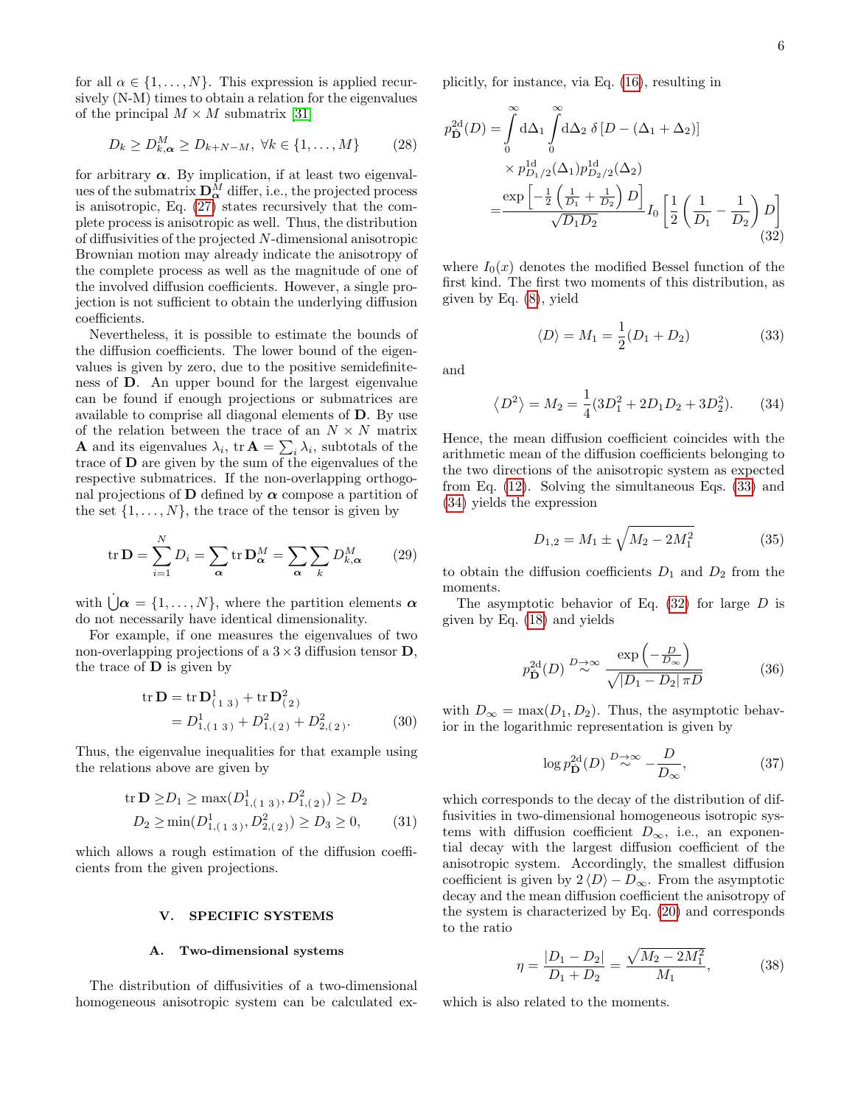for all  $\alpha \in \{1, \ldots, N\}$ . This expression is applied recursively (N-M) times to obtain a relation for the eigenvalues of the principal  $M \times M$  submatrix [\[31\]](#page-13-26)

$$
D_k \ge D_{k,\alpha}^M \ge D_{k+N-M}, \ \forall k \in \{1, \dots, M\} \tag{28}
$$

for arbitrary  $\alpha$ . By implication, if at least two eigenvalues of the submatrix  $\mathbf{D}_{\alpha}^{\bar{M}}$  differ, i.e., the projected process is anisotropic, Eq. [\(27\)](#page-4-1) states recursively that the complete process is anisotropic as well. Thus, the distribution of diffusivities of the projected N-dimensional anisotropic Brownian motion may already indicate the anisotropy of the complete process as well as the magnitude of one of the involved diffusion coefficients. However, a single projection is not sufficient to obtain the underlying diffusion coefficients.

Nevertheless, it is possible to estimate the bounds of the diffusion coefficients. The lower bound of the eigenvalues is given by zero, due to the positive semidefiniteness of D. An upper bound for the largest eigenvalue can be found if enough projections or submatrices are available to comprise all diagonal elements of D. By use of the relation between the trace of an  $N \times N$  matrix **A** and its eigenvalues  $\lambda_i$ ,  $\text{tr } A = \sum_i \lambda_i$ , subtotals of the trace of D are given by the sum of the eigenvalues of the respective submatrices. If the non-overlapping orthogonal projections of **D** defined by  $\alpha$  compose a partition of the set  $\{1, \ldots, N\}$ , the trace of the tensor is given by

$$
\operatorname{tr} \mathbf{D} = \sum_{i=1}^{N} D_i = \sum_{\alpha} \operatorname{tr} \mathbf{D}_{\alpha}^{M} = \sum_{\alpha} \sum_{k} D_{k,\alpha}^{M} \qquad (29)
$$

with  $\dot{\bigcup} \alpha = \{1, \ldots, N\}$ , where the partition elements  $\alpha$ do not necessarily have identical dimensionality.

For example, if one measures the eigenvalues of two non-overlapping projections of a  $3 \times 3$  diffusion tensor **D**, the trace of  $\bf{D}$  is given by

$$
\text{tr } \mathbf{D} = \text{tr } \mathbf{D}_{(1\ 3)}^1 + \text{tr } \mathbf{D}_{(2)}^2
$$
  
=  $D_{1,(1\ 3)}^1 + D_{1,(2)}^2 + D_{2,(2)}^2.$  (30)

Thus, the eigenvalue inequalities for that example using the relations above are given by

$$
\text{tr } \mathbf{D} \ge D_1 \ge \max(D^1_{1,(1\ 3)}, D^2_{1,(2)}) \ge D_2
$$
  
 
$$
D_2 \ge \min(D^1_{1,(1\ 3)}, D^2_{2,(2)}) \ge D_3 \ge 0,
$$
 (31)

which allows a rough estimation of the diffusion coefficients from the given projections.

# <span id="page-5-0"></span>V. SPECIFIC SYSTEMS

# A. Two-dimensional systems

The distribution of diffusivities of a two-dimensional homogeneous anisotropic system can be calculated explicitly, for instance, via Eq. [\(16\)](#page-3-1), resulting in

$$
p_{\mathbf{D}}^{2d}(D) = \int_{0}^{\infty} d\Delta_{1} \int_{0}^{\infty} d\Delta_{2} \delta [D - (\Delta_{1} + \Delta_{2})]
$$
  
 
$$
\times p_{D_{1}/2}^{1d}(\Delta_{1}) p_{D_{2}/2}^{1d}(\Delta_{2})
$$
  

$$
= \frac{\exp \left[-\frac{1}{2} \left(\frac{1}{D_{1}} + \frac{1}{D_{2}}\right) D\right]}{\sqrt{D_{1} D_{2}}} I_{0} \left[\frac{1}{2} \left(\frac{1}{D_{1}} - \frac{1}{D_{2}}\right) D\right]
$$
(32)

where  $I_0(x)$  denotes the modified Bessel function of the first kind. The first two moments of this distribution, as given by Eq. [\(8\)](#page-2-3), yield

<span id="page-5-3"></span><span id="page-5-2"></span><span id="page-5-1"></span>
$$
\langle D \rangle = M_1 = \frac{1}{2}(D_1 + D_2) \tag{33}
$$

and

$$
\langle D^2 \rangle = M_2 = \frac{1}{4} (3D_1^2 + 2D_1 D_2 + 3D_2^2). \tag{34}
$$

Hence, the mean diffusion coefficient coincides with the arithmetic mean of the diffusion coefficients belonging to the two directions of the anisotropic system as expected from Eq. [\(12\)](#page-3-3). Solving the simultaneous Eqs. [\(33\)](#page-5-1) and [\(34\)](#page-5-2) yields the expression

<span id="page-5-7"></span>
$$
D_{1,2} = M_1 \pm \sqrt{M_2 - 2M_1^2} \tag{35}
$$

to obtain the diffusion coefficients  $D_1$  and  $D_2$  from the moments.

The asymptotic behavior of Eq.  $(32)$  for large D is given by Eq. [\(18\)](#page-3-4) and yields

<span id="page-5-4"></span>
$$
p_{\mathbf{\hat{D}}}^{\text{2d}}(D) \stackrel{D \to \infty}{\sim} \frac{\exp\left(-\frac{D}{D_{\infty}}\right)}{\sqrt{|D_1 - D_2| \pi D}} \tag{36}
$$

with  $D_{\infty} = \max(D_1, D_2)$ . Thus, the asymptotic behavior in the logarithmic representation is given by

<span id="page-5-5"></span>
$$
\log p_{\hat{\mathbf{D}}}^{2d}(D) \stackrel{D \to \infty}{\sim} -\frac{D}{D_{\infty}},\tag{37}
$$

which corresponds to the decay of the distribution of diffusivities in two-dimensional homogeneous isotropic systems with diffusion coefficient  $D_{\infty}$ , i.e., an exponential decay with the largest diffusion coefficient of the anisotropic system. Accordingly, the smallest diffusion coefficient is given by  $2 \langle D \rangle - D_{\infty}$ . From the asymptotic decay and the mean diffusion coefficient the anisotropy of the system is characterized by Eq. [\(20\)](#page-4-0) and corresponds to the ratio

<span id="page-5-6"></span>
$$
\eta = \frac{|D_1 - D_2|}{D_1 + D_2} = \frac{\sqrt{M_2 - 2M_1^2}}{M_1},\tag{38}
$$

which is also related to the moments.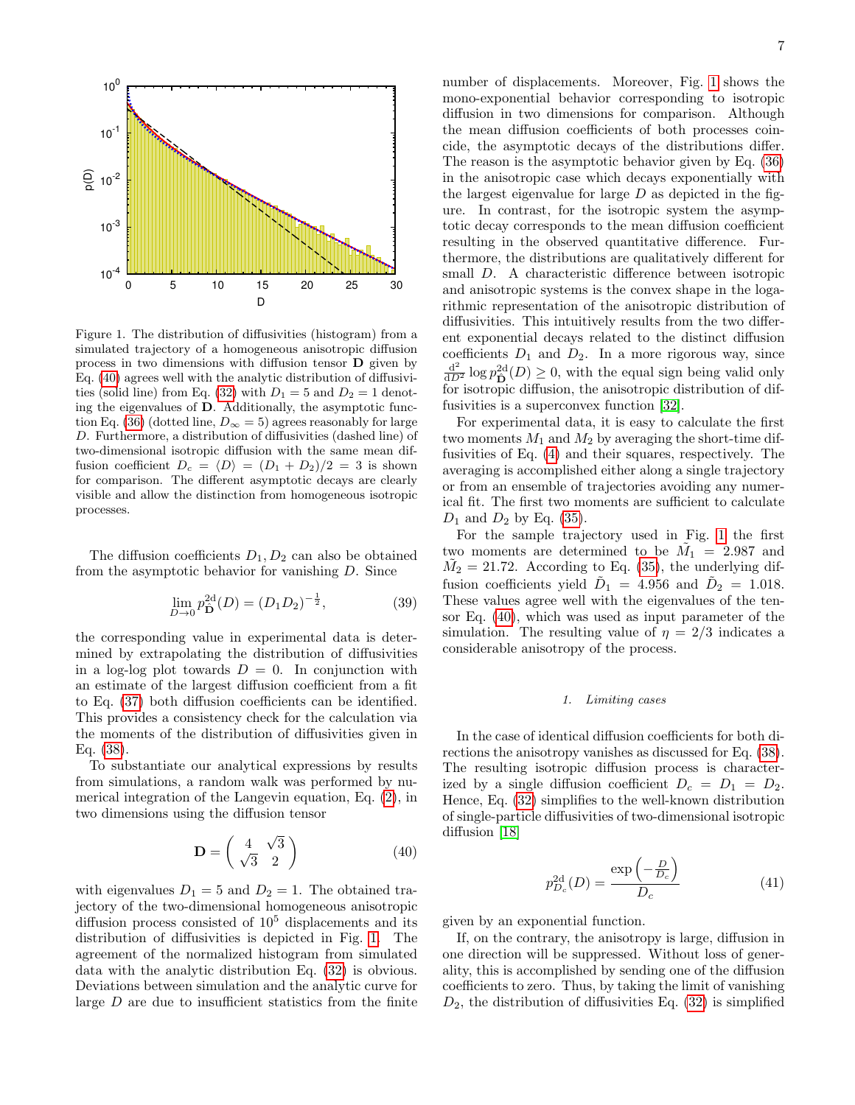

<span id="page-6-1"></span>Figure 1. The distribution of diffusivities (histogram) from a simulated trajectory of a homogeneous anisotropic diffusion process in two dimensions with diffusion tensor D given by Eq. [\(40\)](#page-6-0) agrees well with the analytic distribution of diffusivi-ties (solid line) from Eq. [\(32\)](#page-5-3) with  $D_1 = 5$  and  $D_2 = 1$  denoting the eigenvalues of D. Additionally, the asymptotic func-tion Eq. [\(36\)](#page-5-4) (dotted line,  $D_{\infty} = 5$ ) agrees reasonably for large D. Furthermore, a distribution of diffusivities (dashed line) of two-dimensional isotropic diffusion with the same mean diffusion coefficient  $D_c = \langle D \rangle = (D_1 + D_2)/2 = 3$  is shown for comparison. The different asymptotic decays are clearly visible and allow the distinction from homogeneous isotropic processes.

The diffusion coefficients  $D_1, D_2$  can also be obtained from the asymptotic behavior for vanishing D. Since

$$
\lim_{D \to 0} p_{\mathbf{D}}^{2d}(D) = (D_1 D_2)^{-\frac{1}{2}},\tag{39}
$$

the corresponding value in experimental data is determined by extrapolating the distribution of diffusivities in a log-log plot towards  $D = 0$ . In conjunction with an estimate of the largest diffusion coefficient from a fit to Eq. [\(37\)](#page-5-5) both diffusion coefficients can be identified. This provides a consistency check for the calculation via the moments of the distribution of diffusivities given in Eq. [\(38\)](#page-5-6).

To substantiate our analytical expressions by results from simulations, a random walk was performed by numerical integration of the Langevin equation, Eq. [\(2\)](#page-1-5), in two dimensions using the diffusion tensor

<span id="page-6-0"></span>
$$
\mathbf{D} = \begin{pmatrix} 4 & \sqrt{3} \\ \sqrt{3} & 2 \end{pmatrix} \tag{40}
$$

with eigenvalues  $D_1 = 5$  and  $D_2 = 1$ . The obtained trajectory of the two-dimensional homogeneous anisotropic diffusion process consisted of  $10<sup>5</sup>$  displacements and its distribution of diffusivities is depicted in Fig. [1.](#page-6-1) The agreement of the normalized histogram from simulated data with the analytic distribution Eq. [\(32\)](#page-5-3) is obvious. Deviations between simulation and the analytic curve for large D are due to insufficient statistics from the finite number of displacements. Moreover, Fig. [1](#page-6-1) shows the mono-exponential behavior corresponding to isotropic diffusion in two dimensions for comparison. Although the mean diffusion coefficients of both processes coincide, the asymptotic decays of the distributions differ. The reason is the asymptotic behavior given by Eq. [\(36\)](#page-5-4) in the anisotropic case which decays exponentially with the largest eigenvalue for large  $D$  as depicted in the figure. In contrast, for the isotropic system the asymptotic decay corresponds to the mean diffusion coefficient resulting in the observed quantitative difference. Furthermore, the distributions are qualitatively different for small D. A characteristic difference between isotropic and anisotropic systems is the convex shape in the logarithmic representation of the anisotropic distribution of diffusivities. This intuitively results from the two different exponential decays related to the distinct diffusion coefficients  $D_1$  and  $D_2$ . In a more rigorous way, since  $\frac{d^2}{dD^2}$  log  $p_{\mathbf{D}}^{\text{2d}}(D) \geq 0$ , with the equal sign being valid only

For experimental data, it is easy to calculate the first two moments  $M_1$  and  $M_2$  by averaging the short-time diffusivities of Eq. [\(4\)](#page-1-3) and their squares, respectively. The averaging is accomplished either along a single trajectory or from an ensemble of trajectories avoiding any numerical fit. The first two moments are sufficient to calculate  $D_1$  and  $D_2$  by Eq. [\(35\)](#page-5-7).

for isotropic diffusion, the anisotropic distribution of dif-

fusivities is a superconvex function [\[32\]](#page-13-27).

For the sample trajectory used in Fig. [1](#page-6-1) the first two moments are determined to be  $\tilde{M}_1 = 2.987$  and  $\tilde{M}_2 = 21.72$ . According to Eq. [\(35\)](#page-5-7), the underlying diffusion coefficients yield  $\tilde{D}_1 = 4.956$  and  $\tilde{D}_2 = 1.018$ . These values agree well with the eigenvalues of the tensor Eq. [\(40\)](#page-6-0), which was used as input parameter of the simulation. The resulting value of  $\eta = 2/3$  indicates a considerable anisotropy of the process.

# 1. Limiting cases

In the case of identical diffusion coefficients for both directions the anisotropy vanishes as discussed for Eq. [\(38\)](#page-5-6). The resulting isotropic diffusion process is characterized by a single diffusion coefficient  $D_c = D_1 = D_2$ . Hence, Eq. [\(32\)](#page-5-3) simplifies to the well-known distribution of single-particle diffusivities of two-dimensional isotropic diffusion [\[18\]](#page-13-13)

$$
p_{D_c}^{\text{2d}}(D) = \frac{\exp\left(-\frac{D}{D_c}\right)}{D_c} \tag{41}
$$

given by an exponential function.

If, on the contrary, the anisotropy is large, diffusion in one direction will be suppressed. Without loss of generality, this is accomplished by sending one of the diffusion coefficients to zero. Thus, by taking the limit of vanishing  $D_2$ , the distribution of diffusivities Eq. [\(32\)](#page-5-3) is simplified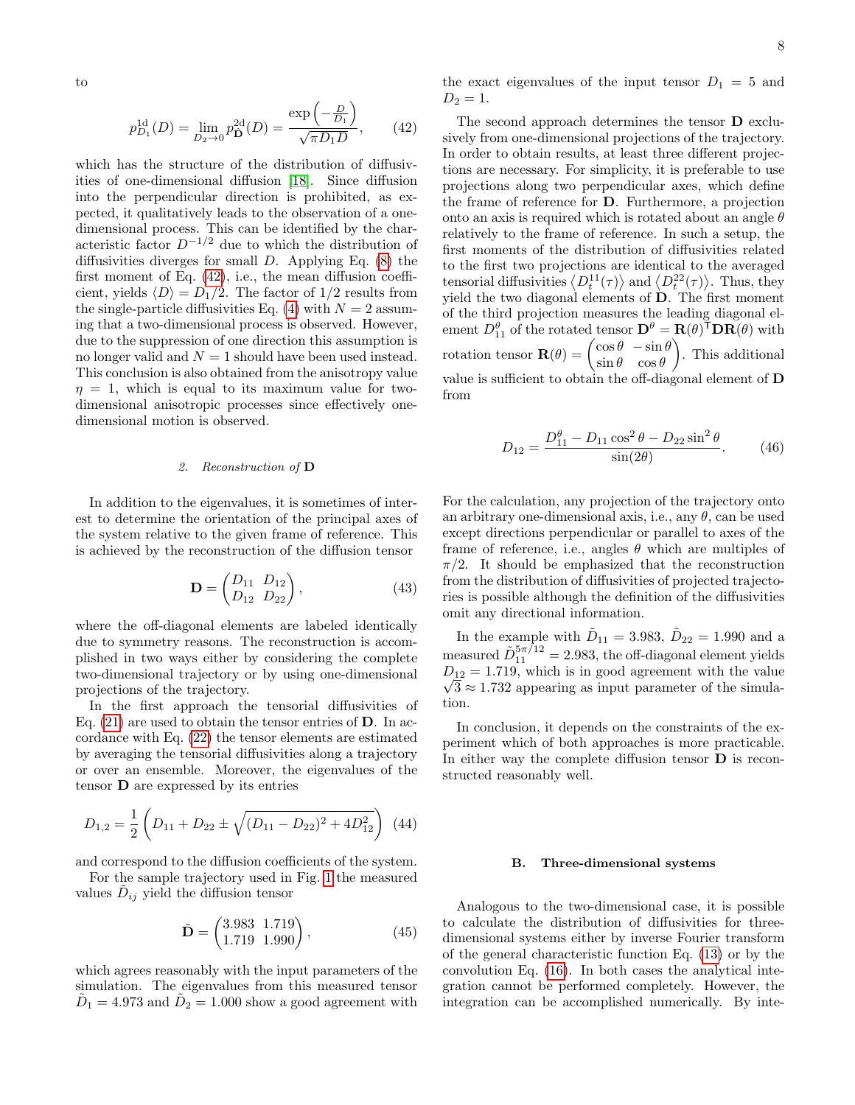to

<span id="page-7-0"></span>
$$
p_{D_1}^{1d}(D) = \lim_{D_2 \to 0} p_{\mathbf{D}}^{2d}(D) = \frac{\exp\left(-\frac{D}{D_1}\right)}{\sqrt{\pi D_1 D}},\qquad(42)
$$

which has the structure of the distribution of diffusivities of one-dimensional diffusion [\[18\]](#page-13-13). Since diffusion into the perpendicular direction is prohibited, as expected, it qualitatively leads to the observation of a onedimensional process. This can be identified by the characteristic factor  $D^{-1/2}$  due to which the distribution of diffusivities diverges for small  $D$ . Applying Eq.  $(8)$  the first moment of Eq. [\(42\)](#page-7-0), i.e., the mean diffusion coefficient, yields  $\langle D \rangle = D_1/2$ . The factor of 1/2 results from the single-particle diffusivities Eq. [\(4\)](#page-1-3) with  $N = 2$  assuming that a two-dimensional process is observed. However, due to the suppression of one direction this assumption is no longer valid and  $N = 1$  should have been used instead. This conclusion is also obtained from the anisotropy value  $\eta = 1$ , which is equal to its maximum value for twodimensional anisotropic processes since effectively onedimensional motion is observed.

# 2. Reconstruction of D

In addition to the eigenvalues, it is sometimes of interest to determine the orientation of the principal axes of the system relative to the given frame of reference. This is achieved by the reconstruction of the diffusion tensor

$$
\mathbf{D} = \begin{pmatrix} D_{11} & D_{12} \\ D_{12} & D_{22} \end{pmatrix}, \tag{43}
$$

where the off-diagonal elements are labeled identically due to symmetry reasons. The reconstruction is accomplished in two ways either by considering the complete two-dimensional trajectory or by using one-dimensional projections of the trajectory.

In the first approach the tensorial diffusivities of Eq.  $(21)$  are used to obtain the tensor entries of **D**. In accordance with Eq. [\(22\)](#page-4-3) the tensor elements are estimated by averaging the tensorial diffusivities along a trajectory or over an ensemble. Moreover, the eigenvalues of the tensor D are expressed by its entries

$$
D_{1,2} = \frac{1}{2} \left( D_{11} + D_{22} \pm \sqrt{(D_{11} - D_{22})^2 + 4D_{12}^2} \right) (44)
$$

and correspond to the diffusion coefficients of the system.

For the sample trajectory used in Fig. [1](#page-6-1) the measured values  $\tilde{D}_{ij}$  yield the diffusion tensor

$$
\tilde{\mathbf{D}} = \begin{pmatrix} 3.983 & 1.719 \\ 1.719 & 1.990 \end{pmatrix}, \tag{45}
$$

which agrees reasonably with the input parameters of the simulation. The eigenvalues from this measured tensor  $\tilde{D}_1 = 4.973$  and  $\tilde{D}_2 = 1.000$  show a good agreement with

the exact eigenvalues of the input tensor  $D_1 = 5$  and  $D_2 = 1.$ 

The second approach determines the tensor D exclusively from one-dimensional projections of the trajectory. In order to obtain results, at least three different projections are necessary. For simplicity, it is preferable to use projections along two perpendicular axes, which define the frame of reference for D. Furthermore, a projection onto an axis is required which is rotated about an angle  $\theta$ relatively to the frame of reference. In such a setup, the first moments of the distribution of diffusivities related to the first two projections are identical to the averaged tensorial diffusivities  $\langle D_t^{11}(\tau) \rangle$  and  $\langle D_t^{22}(\tau) \rangle$ . Thus, they yield the two diagonal elements of D. The first moment of the third projection measures the leading diagonal element  $D_{11}^{\theta}$  of the rotated tensor  $\mathbf{D}^{\theta} = \mathbf{R}(\theta)^{\mathsf{T}} \mathbf{D} \mathbf{R}(\theta)$  with rotation tensor  $\mathbf{R}(\theta) = \begin{pmatrix} \cos \theta & -\sin \theta \\ \sin \theta & \cos \theta \end{pmatrix}$  $\sin \theta \quad \cos \theta$  . This additional value is sufficient to obtain the off-diagonal element of D from

$$
D_{12} = \frac{D_{11}^{\theta} - D_{11}\cos^2\theta - D_{22}\sin^2\theta}{\sin(2\theta)}.
$$
 (46)

For the calculation, any projection of the trajectory onto an arbitrary one-dimensional axis, i.e., any  $\theta$ , can be used except directions perpendicular or parallel to axes of the frame of reference, i.e., angles  $\theta$  which are multiples of  $\pi/2$ . It should be emphasized that the reconstruction from the distribution of diffusivities of projected trajectories is possible although the definition of the diffusivities omit any directional information.

In the example with  $\tilde{D}_{11} = 3.983, \tilde{D}_{22} = 1.990$  and a measured  $\tilde{D}_{11}^{5\pi/12} = 2.983$ , the off-diagonal element yields  $D_{12} = 1.719$ , which is in good agreement with the value  $\sqrt{3} \approx 1.732$  appearing as input parameter of the simulation.

In conclusion, it depends on the constraints of the experiment which of both approaches is more practicable. In either way the complete diffusion tensor  **is recon**structed reasonably well.

### B. Three-dimensional systems

Analogous to the two-dimensional case, it is possible to calculate the distribution of diffusivities for threedimensional systems either by inverse Fourier transform of the general characteristic function Eq. [\(13\)](#page-3-0) or by the convolution Eq. [\(16\)](#page-3-1). In both cases the analytical integration cannot be performed completely. However, the integration can be accomplished numerically. By inte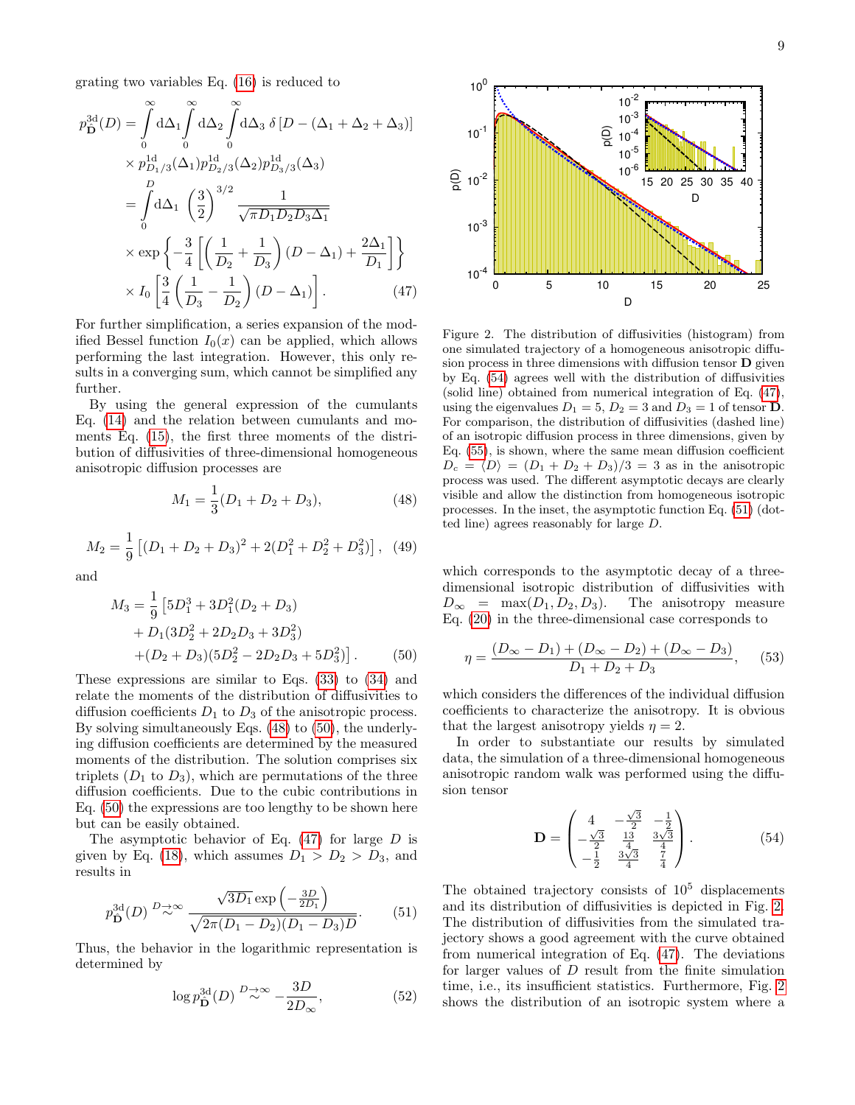grating two variables Eq. [\(16\)](#page-3-1) is reduced to

$$
p_{\mathbf{D}}^{3d}(D) = \int_{0}^{\infty} d\Delta_{1} \int_{0}^{\infty} d\Delta_{2} \int_{0}^{\infty} d\Delta_{3} \delta [D - (\Delta_{1} + \Delta_{2} + \Delta_{3})]
$$
  
\n
$$
\times p_{D_{1}/3}^{1d}(\Delta_{1}) p_{D_{2}/3}^{1d}(\Delta_{2}) p_{D_{3}/3}^{1d}(\Delta_{3})
$$
  
\n
$$
= \int_{0}^{D} d\Delta_{1} \left(\frac{3}{2}\right)^{3/2} \frac{1}{\sqrt{\pi D_{1}D_{2}D_{3}\Delta_{1}}}
$$
  
\n
$$
\times \exp \left\{-\frac{3}{4} \left[\left(\frac{1}{D_{2}} + \frac{1}{D_{3}}\right)(D - \Delta_{1}) + \frac{2\Delta_{1}}{D_{1}}\right]\right\}
$$
  
\n
$$
\times I_{0} \left[\frac{3}{4} \left(\frac{1}{D_{3}} - \frac{1}{D_{2}}\right)(D - \Delta_{1})\right].
$$
 (47)

For further simplification, a series expansion of the modified Bessel function  $I_0(x)$  can be applied, which allows performing the last integration. However, this only results in a converging sum, which cannot be simplified any further.

By using the general expression of the cumulants Eq. [\(14\)](#page-3-5) and the relation between cumulants and moments Eq. [\(15\)](#page-3-6), the first three moments of the distribution of diffusivities of three-dimensional homogeneous anisotropic diffusion processes are

<span id="page-8-0"></span>
$$
M_1 = \frac{1}{3}(D_1 + D_2 + D_3),\tag{48}
$$

$$
M_2 = \frac{1}{9} \left[ (D_1 + D_2 + D_3)^2 + 2(D_1^2 + D_2^2 + D_3^2) \right], \tag{49}
$$

and

$$
M_3 = \frac{1}{9} \left[ 5D_1^3 + 3D_1^2 (D_2 + D_3) + D_1 (3D_2^2 + 2D_2 D_3 + 3D_3^2) + (D_2 + D_3)(5D_2^2 - 2D_2 D_3 + 5D_3^2) \right].
$$
 (50)

These expressions are similar to Eqs. [\(33\)](#page-5-1) to [\(34\)](#page-5-2) and relate the moments of the distribution of diffusivities to diffusion coefficients  $D_1$  to  $D_3$  of the anisotropic process. By solving simultaneously Eqs. [\(48\)](#page-8-0) to [\(50\)](#page-8-1), the underlying diffusion coefficients are determined by the measured moments of the distribution. The solution comprises six triplets  $(D_1$  to  $D_3)$ , which are permutations of the three diffusion coefficients. Due to the cubic contributions in Eq. [\(50\)](#page-8-1) the expressions are too lengthy to be shown here but can be easily obtained.

The asymptotic behavior of Eq.  $(47)$  for large D is given by Eq. [\(18\)](#page-3-4), which assumes  $D_1 > D_2 > D_3$ , and results in

<span id="page-8-4"></span>
$$
p_{\mathbf{D}}^{3d}(D) \stackrel{D \to \infty}{\sim} \frac{\sqrt{3D_1} \exp\left(-\frac{3D}{2D_1}\right)}{\sqrt{2\pi (D_1 - D_2)(D_1 - D_3)D}}.\tag{51}
$$

Thus, the behavior in the logarithmic representation is determined by

$$
\log p_{\hat{\mathbf{D}}}^{3d}(D) \stackrel{D \to \infty}{\sim} -\frac{3D}{2D_{\infty}},\tag{52}
$$



<span id="page-8-5"></span><span id="page-8-2"></span>Figure 2. The distribution of diffusivities (histogram) from one simulated trajectory of a homogeneous anisotropic diffusion process in three dimensions with diffusion tensor D given by Eq. [\(54\)](#page-8-3) agrees well with the distribution of diffusivities (solid line) obtained from numerical integration of Eq. [\(47\)](#page-8-2), using the eigenvalues  $D_1 = 5$ ,  $D_2 = 3$  and  $D_3 = 1$  of tensor **D**. For comparison, the distribution of diffusivities (dashed line) of an isotropic diffusion process in three dimensions, given by Eq. [\(55\)](#page-9-0), is shown, where the same mean diffusion coefficient  $D_c = \langle D \rangle = (D_1 + D_2 + D_3)/3 = 3$  as in the anisotropic process was used. The different asymptotic decays are clearly visible and allow the distinction from homogeneous isotropic processes. In the inset, the asymptotic function Eq. [\(51\)](#page-8-4) (dotted line) agrees reasonably for large D.

which corresponds to the asymptotic decay of a threedimensional isotropic distribution of diffusivities with  $D_{\infty}$  = max $(D_1, D_2, D_3)$ . The anisotropy measure Eq. [\(20\)](#page-4-0) in the three-dimensional case corresponds to

$$
\eta = \frac{(D_{\infty} - D_1) + (D_{\infty} - D_2) + (D_{\infty} - D_3)}{D_1 + D_2 + D_3},
$$
(53)

<span id="page-8-1"></span>which considers the differences of the individual diffusion coefficients to characterize the anisotropy. It is obvious that the largest anisotropy yields  $\eta = 2$ .

In order to substantiate our results by simulated data, the simulation of a three-dimensional homogeneous anisotropic random walk was performed using the diffusion tensor

<span id="page-8-3"></span>
$$
\mathbf{D} = \begin{pmatrix} 4 & -\frac{\sqrt{3}}{2} & -\frac{1}{2} \\ -\frac{\sqrt{3}}{2} & \frac{13}{4} & \frac{3\sqrt{3}}{4} \\ -\frac{1}{2} & \frac{3\sqrt{3}}{4} & \frac{7}{4} \end{pmatrix} . \tag{54}
$$

The obtained trajectory consists of  $10^5$  displacements and its distribution of diffusivities is depicted in Fig. [2.](#page-8-5) The distribution of diffusivities from the simulated trajectory shows a good agreement with the curve obtained from numerical integration of Eq. [\(47\)](#page-8-2). The deviations for larger values of D result from the finite simulation time, i.e., its insufficient statistics. Furthermore, Fig. [2](#page-8-5) shows the distribution of an isotropic system where a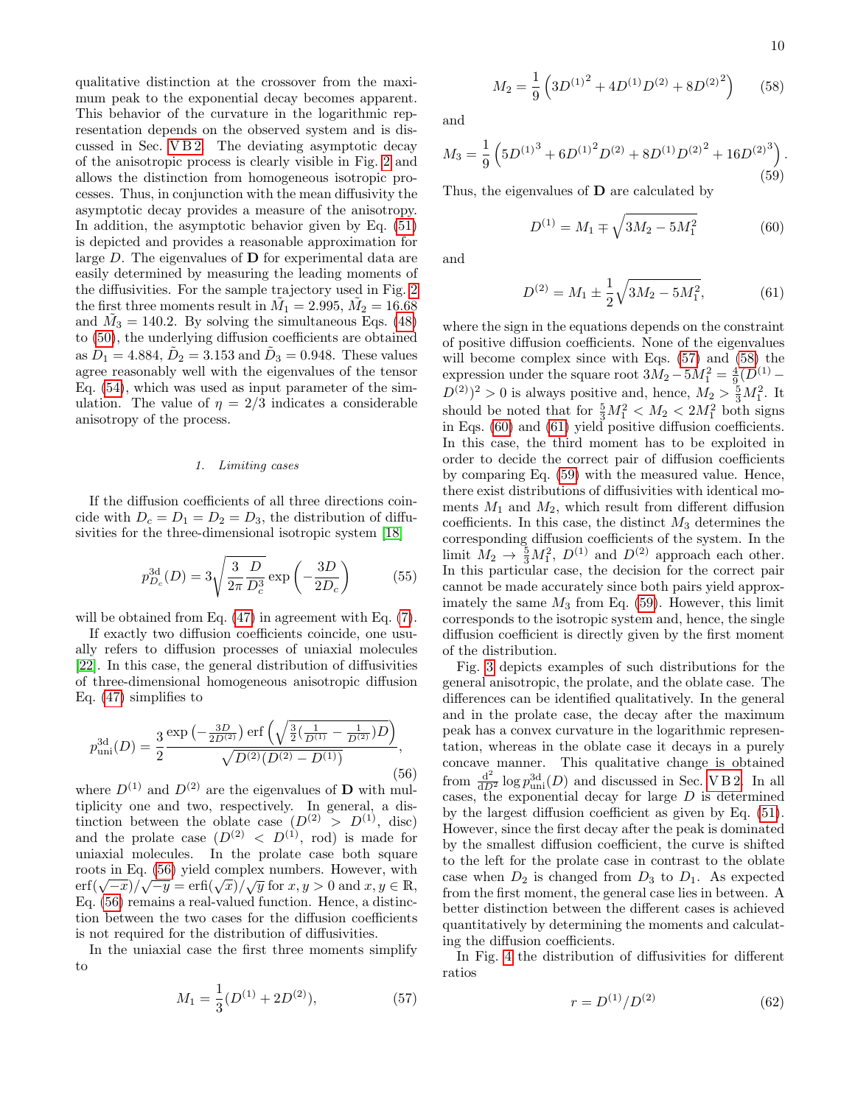qualitative distinction at the crossover from the maximum peak to the exponential decay becomes apparent. This behavior of the curvature in the logarithmic representation depends on the observed system and is discussed in Sec. [V B 2.](#page-10-0) The deviating asymptotic decay of the anisotropic process is clearly visible in Fig. [2](#page-8-5) and allows the distinction from homogeneous isotropic processes. Thus, in conjunction with the mean diffusivity the asymptotic decay provides a measure of the anisotropy. In addition, the asymptotic behavior given by Eq. [\(51\)](#page-8-4) is depicted and provides a reasonable approximation for large D. The eigenvalues of D for experimental data are easily determined by measuring the leading moments of the diffusivities. For the sample trajectory used in Fig. [2](#page-8-5) the first three moments result in  $\tilde{M}_1^{\star} = 2.995, \tilde{M}_2 = 16.68$ and  $\tilde{M}_3 = 140.2$ . By solving the simultaneous Eqs. [\(48\)](#page-8-0) to [\(50\)](#page-8-1), the underlying diffusion coefficients are obtained as  $D_1 = 4.884, D_2 = 3.153$  and  $D_3 = 0.948$ . These values agree reasonably well with the eigenvalues of the tensor Eq. [\(54\)](#page-8-3), which was used as input parameter of the simulation. The value of  $\eta = 2/3$  indicates a considerable anisotropy of the process.

# 1. Limiting cases

If the diffusion coefficients of all three directions coincide with  $D_c = D_1 = D_2 = D_3$ , the distribution of diffusivities for the three-dimensional isotropic system [\[18\]](#page-13-13)

<span id="page-9-0"></span>
$$
p_{D_c}^{\rm 3d}(D) = 3\sqrt{\frac{3}{2\pi} \frac{D}{D_c^3}} \exp\left(-\frac{3D}{2D_c}\right) \tag{55}
$$

will be obtained from Eq.  $(47)$  in agreement with Eq.  $(7)$ .

If exactly two diffusion coefficients coincide, one usually refers to diffusion processes of uniaxial molecules [\[22\]](#page-13-17). In this case, the general distribution of diffusivities of three-dimensional homogeneous anisotropic diffusion Eq. [\(47\)](#page-8-2) simplifies to

<span id="page-9-1"></span>
$$
p_{\rm uni}^{\rm 3d}(D) = \frac{3}{2} \frac{\exp\left(-\frac{3D}{2D^{(2)}}\right) \exp\left(\sqrt{\frac{3}{2}(\frac{1}{D^{(1)}} - \frac{1}{D^{(2)}})D}\right)}{\sqrt{D^{(2)}(D^{(2)} - D^{(1)})}},\tag{56}
$$

where  $D^{(1)}$  and  $D^{(2)}$  are the eigenvalues of **D** with multiplicity one and two, respectively. In general, a distinction between the oblate case  $(D^{(2)} > D^{(1)}, \text{ disc})$ and the prolate case  $(D^{(2)} \leq D^{(1)}, \text{ rod})$  is made for uniaxial molecules. In the prolate case both square roots in Eq. [\(56\)](#page-9-1) yield complex numbers. However, with roots in Eq. (30) yield complex numbers. However, with<br>
erf( $\sqrt{-x}$ )/ $\sqrt{-y}$  = erfi( $\sqrt{x}$ )/ $\sqrt{y}$  for  $x, y > 0$  and  $x, y \in \mathbb{R}$ , Eq. [\(56\)](#page-9-1) remains a real-valued function. Hence, a distinction between the two cases for the diffusion coefficients is not required for the distribution of diffusivities.

In the uniaxial case the first three moments simplify to

<span id="page-9-2"></span>
$$
M_1 = \frac{1}{3}(D^{(1)} + 2D^{(2)}),\tag{57}
$$

<span id="page-9-3"></span>
$$
M_2 = \frac{1}{9} \left( 3D^{(1)^2} + 4D^{(1)}D^{(2)} + 8D^{(2)^2} \right) \tag{58}
$$

and

<span id="page-9-6"></span>
$$
M_3 = \frac{1}{9} \left( 5D^{(1)^3} + 6D^{(1)^2}D^{(2)} + 8D^{(1)}D^{(2)^2} + 16D^{(2)^3} \right). \tag{59}
$$

Thus, the eigenvalues of  **are calculated by** 

<span id="page-9-4"></span>
$$
D^{(1)} = M_1 \mp \sqrt{3M_2 - 5M_1^2} \tag{60}
$$

and

<span id="page-9-5"></span>
$$
D^{(2)} = M_1 \pm \frac{1}{2} \sqrt{3M_2 - 5M_1^2},
$$
 (61)

where the sign in the equations depends on the constraint of positive diffusion coefficients. None of the eigenvalues will become complex since with Eqs. [\(57\)](#page-9-2) and [\(58\)](#page-9-3) the expression under the square root  $3M_2 - 5M_1^2 = \frac{4}{9}(D^{(1)} (D^{(2)})^2 > 0$  is always positive and, hence,  $M_2 > \frac{5}{3}M_1^2$ . It should be noted that for  $\frac{5}{3}M_1^2 < M_2 < 2M_1^2$  both signs in Eqs. [\(60\)](#page-9-4) and [\(61\)](#page-9-5) yield positive diffusion coefficients. In this case, the third moment has to be exploited in order to decide the correct pair of diffusion coefficients by comparing Eq. [\(59\)](#page-9-6) with the measured value. Hence, there exist distributions of diffusivities with identical moments  $M_1$  and  $M_2$ , which result from different diffusion coefficients. In this case, the distinct  $M_3$  determines the corresponding diffusion coefficients of the system. In the limit  $M_2 \rightarrow \frac{5}{3}M_1^2$ ,  $D^{(1)}$  and  $D^{(2)}$  approach each other. In this particular case, the decision for the correct pair cannot be made accurately since both pairs yield approximately the same  $M_3$  from Eq. [\(59\)](#page-9-6). However, this limit corresponds to the isotropic system and, hence, the single diffusion coefficient is directly given by the first moment of the distribution.

Fig. [3](#page-10-1) depicts examples of such distributions for the general anisotropic, the prolate, and the oblate case. The differences can be identified qualitatively. In the general and in the prolate case, the decay after the maximum peak has a convex curvature in the logarithmic representation, whereas in the oblate case it decays in a purely concave manner. This qualitative change is obtained from  $\frac{d^2}{dD^2} \log p_{\text{uni}}^{3d}(D)$  and discussed in Sec. VB2. In all cases, the exponential decay for large  $D$  is determined by the largest diffusion coefficient as given by Eq. [\(51\)](#page-8-4). However, since the first decay after the peak is dominated by the smallest diffusion coefficient, the curve is shifted to the left for the prolate case in contrast to the oblate case when  $D_2$  is changed from  $D_3$  to  $D_1$ . As expected from the first moment, the general case lies in between. A better distinction between the different cases is achieved quantitatively by determining the moments and calculating the diffusion coefficients.

In Fig. [4](#page-10-2) the distribution of diffusivities for different ratios

<span id="page-9-7"></span>
$$
r = D^{(1)}/D^{(2)}\tag{62}
$$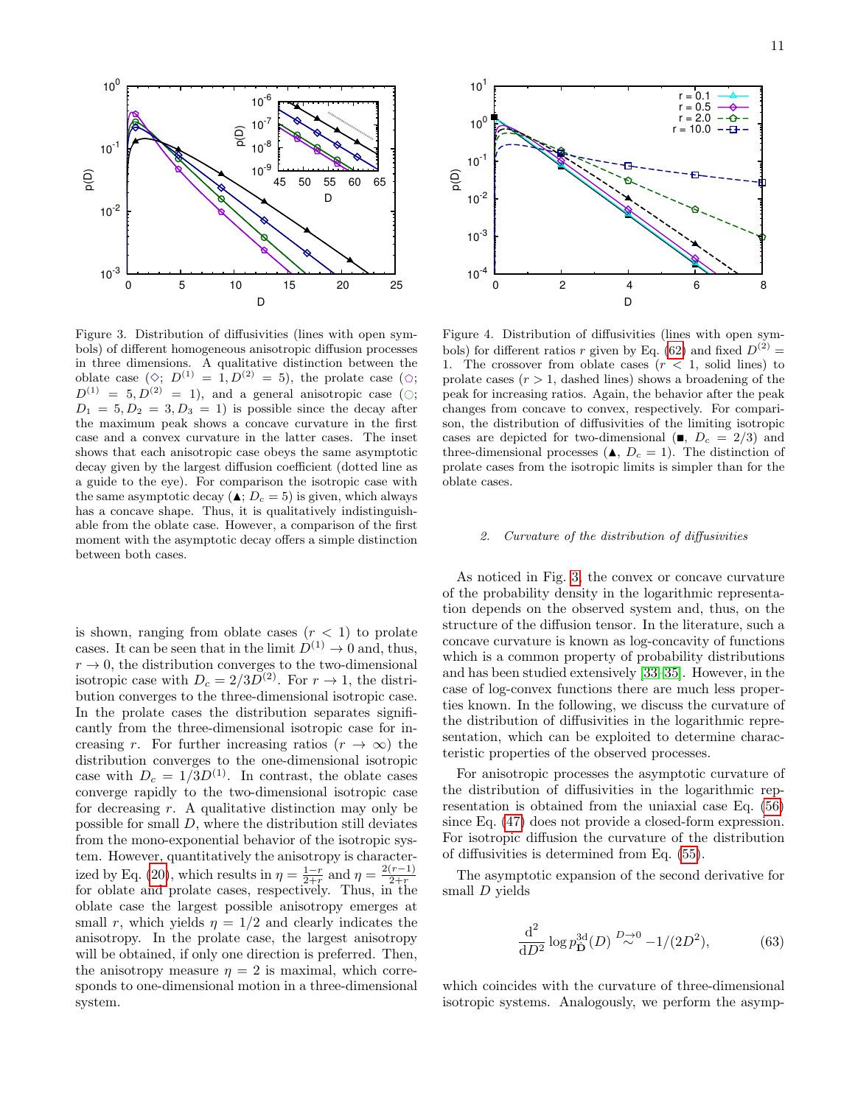

<span id="page-10-1"></span>Figure 3. Distribution of diffusivities (lines with open symbols) of different homogeneous anisotropic diffusion processes in three dimensions. A qualitative distinction between the oblate case  $(\Diamond; D^{(1)} = 1, D^{(2)} = 5)$ , the prolate case  $(\Diamond; D^{(1)} = 1, D^{(2)} = 5)$  $D^{(1)} = 5, D^{(2)} = 1$ , and a general anisotropic case ( $\circ$ ;  $D_1 = 5, D_2 = 3, D_3 = 1$  is possible since the decay after the maximum peak shows a concave curvature in the first case and a convex curvature in the latter cases. The inset shows that each anisotropic case obeys the same asymptotic decay given by the largest diffusion coefficient (dotted line as a guide to the eye). For comparison the isotropic case with the same asymptotic decay ( $\triangle$ ;  $D_c = 5$ ) is given, which always has a concave shape. Thus, it is qualitatively indistinguishable from the oblate case. However, a comparison of the first moment with the asymptotic decay offers a simple distinction between both cases.

is shown, ranging from oblate cases  $(r < 1)$  to prolate cases. It can be seen that in the limit  $D^{(1)} \rightarrow 0$  and, thus,  $r \to 0$ , the distribution converges to the two-dimensional isotropic case with  $D_c = 2/3D^{(2)}$ . For  $r \to 1$ , the distribution converges to the three-dimensional isotropic case. In the prolate cases the distribution separates significantly from the three-dimensional isotropic case for increasing r. For further increasing ratios  $(r \to \infty)$  the distribution converges to the one-dimensional isotropic case with  $D_c = 1/3D^{(1)}$ . In contrast, the oblate cases converge rapidly to the two-dimensional isotropic case for decreasing  $r$ . A qualitative distinction may only be possible for small D, where the distribution still deviates from the mono-exponential behavior of the isotropic system. However, quantitatively the anisotropy is character-ized by Eq. [\(20\)](#page-4-0), which results in  $\eta = \frac{1-r}{2+r}$  and  $\eta = \frac{2(r-1)}{2+r}$ Equality Eq. (20), which results in  $\eta = \frac{2+r}{2+r}$  and  $\eta = \frac{2+r}{2+r}$ <br>for oblate and prolate cases, respectively. Thus, in the oblate case the largest possible anisotropy emerges at small r, which yields  $\eta = 1/2$  and clearly indicates the anisotropy. In the prolate case, the largest anisotropy will be obtained, if only one direction is preferred. Then, the anisotropy measure  $\eta = 2$  is maximal, which corresponds to one-dimensional motion in a three-dimensional system.



<span id="page-10-2"></span>Figure 4. Distribution of diffusivities (lines with open sym-bols) for different ratios r given by Eq. [\(62\)](#page-9-7) and fixed  $D^{(2)} =$ 1. The crossover from oblate cases  $(r < 1, \text{ solid lines})$  to prolate cases  $(r > 1$ , dashed lines) shows a broadening of the peak for increasing ratios. Again, the behavior after the peak changes from concave to convex, respectively. For comparison, the distribution of diffusivities of the limiting isotropic cases are depicted for two-dimensional ( $\blacksquare$ ,  $D_c = 2/3$ ) and three-dimensional processes  $(\triangle, D_c = 1)$ . The distinction of prolate cases from the isotropic limits is simpler than for the oblate cases.

# <span id="page-10-0"></span>2. Curvature of the distribution of diffusivities

As noticed in Fig. [3,](#page-10-1) the convex or concave curvature of the probability density in the logarithmic representation depends on the observed system and, thus, on the structure of the diffusion tensor. In the literature, such a concave curvature is known as log-concavity of functions which is a common property of probability distributions and has been studied extensively [\[33–](#page-13-28)[35\]](#page-13-29). However, in the case of log-convex functions there are much less properties known. In the following, we discuss the curvature of the distribution of diffusivities in the logarithmic representation, which can be exploited to determine characteristic properties of the observed processes.

For anisotropic processes the asymptotic curvature of the distribution of diffusivities in the logarithmic representation is obtained from the uniaxial case Eq. [\(56\)](#page-9-1) since Eq. [\(47\)](#page-8-2) does not provide a closed-form expression. For isotropic diffusion the curvature of the distribution of diffusivities is determined from Eq. [\(55\)](#page-9-0).

The asymptotic expansion of the second derivative for small D yields

<span id="page-10-3"></span>
$$
\frac{d^2}{dD^2} \log p_{\hat{\mathbf{D}}}^{3d}(D) \stackrel{D \to 0}{\sim} -1/(2D^2),\tag{63}
$$

which coincides with the curvature of three-dimensional isotropic systems. Analogously, we perform the asymp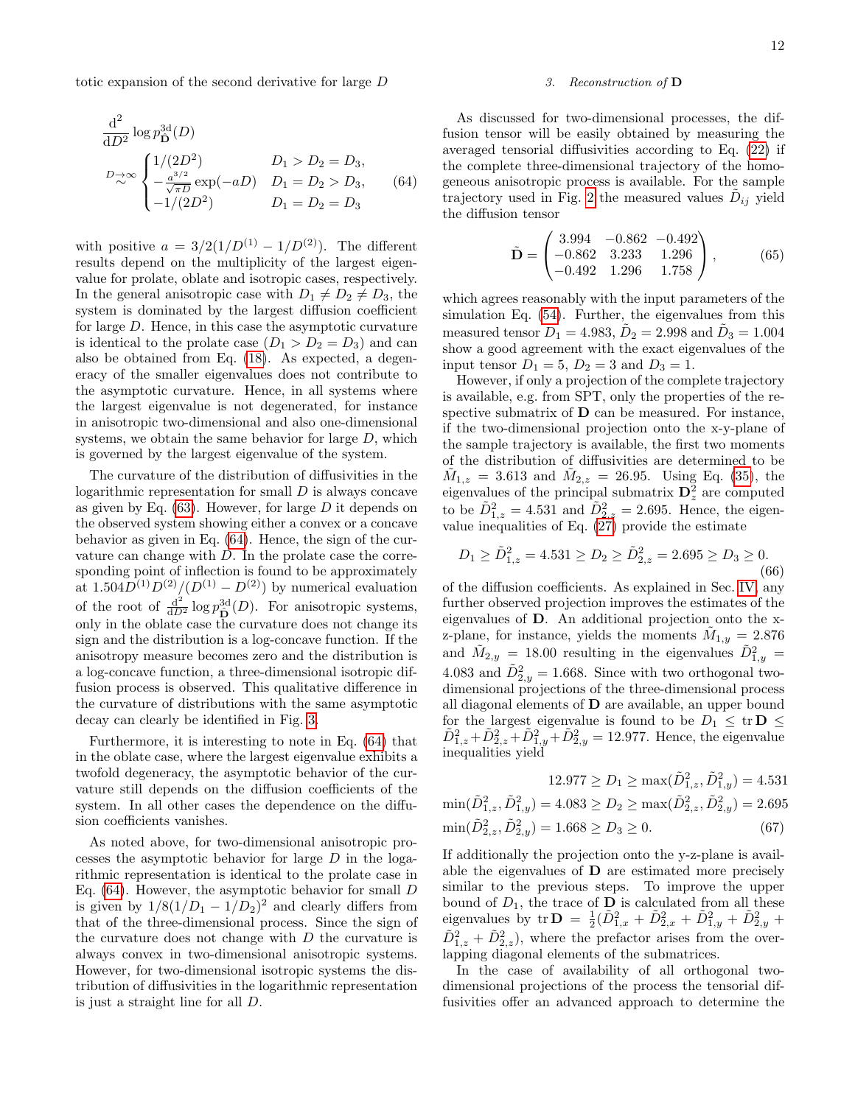totic expansion of the second derivative for large D

$$
\frac{d^2}{dD^2} \log p_{\mathbf{D}}^{3d}(D)
$$
\n
$$
D_{\mathbf{D}} \propto \begin{cases}\n1/(2D^2) & D_1 > D_2 = D_3, \\
-\frac{a^{3/2}}{\sqrt{\pi D}} \exp(-aD) & D_1 = D_2 > D_3, \\
-1/(2D^2) & D_1 = D_2 = D_3\n\end{cases}
$$
\n(64)

with positive  $a = 3/2(1/D^{(1)} - 1/D^{(2)})$ . The different results depend on the multiplicity of the largest eigenvalue for prolate, oblate and isotropic cases, respectively. In the general anisotropic case with  $D_1 \neq D_2 \neq D_3$ , the system is dominated by the largest diffusion coefficient for large D. Hence, in this case the asymptotic curvature is identical to the prolate case  $(D_1 > D_2 = D_3)$  and can also be obtained from Eq. [\(18\)](#page-3-4). As expected, a degeneracy of the smaller eigenvalues does not contribute to the asymptotic curvature. Hence, in all systems where the largest eigenvalue is not degenerated, for instance in anisotropic two-dimensional and also one-dimensional systems, we obtain the same behavior for large  $D$ , which is governed by the largest eigenvalue of the system.

The curvature of the distribution of diffusivities in the logarithmic representation for small  $D$  is always concave as given by Eq.  $(63)$ . However, for large D it depends on the observed system showing either a convex or a concave behavior as given in Eq. [\(64\)](#page-11-0). Hence, the sign of the curvature can change with D. In the prolate case the corresponding point of inflection is found to be approximately at  $1.504D^{(1)}D^{(2)}/(D^{(1)}-D^{(2)})$  by numerical evaluation of the root of  $\frac{d^2}{dD^2} \log p_{\hat{\mathbf{D}}}^{3d}(D)$ . For anisotropic systems, only in the oblate case the curvature does not change its sign and the distribution is a log-concave function. If the anisotropy measure becomes zero and the distribution is a log-concave function, a three-dimensional isotropic diffusion process is observed. This qualitative difference in the curvature of distributions with the same asymptotic decay can clearly be identified in Fig. [3.](#page-10-1)

Furthermore, it is interesting to note in Eq. [\(64\)](#page-11-0) that in the oblate case, where the largest eigenvalue exhibits a twofold degeneracy, the asymptotic behavior of the curvature still depends on the diffusion coefficients of the system. In all other cases the dependence on the diffusion coefficients vanishes.

As noted above, for two-dimensional anisotropic processes the asymptotic behavior for large D in the logarithmic representation is identical to the prolate case in Eq.  $(64)$ . However, the asymptotic behavior for small D is given by  $1/8(1/D_1 - 1/D_2)^2$  and clearly differs from that of the three-dimensional process. Since the sign of the curvature does not change with  $D$  the curvature is always convex in two-dimensional anisotropic systems. However, for two-dimensional isotropic systems the distribution of diffusivities in the logarithmic representation is just a straight line for all D.

# 3. Reconstruction of D

<span id="page-11-0"></span>As discussed for two-dimensional processes, the diffusion tensor will be easily obtained by measuring the averaged tensorial diffusivities according to Eq. [\(22\)](#page-4-3) if the complete three-dimensional trajectory of the homogeneous anisotropic process is available. For the sample trajectory used in Fig. [2](#page-8-5) the measured values  $\tilde{D}_{ij}$  yield the diffusion tensor

$$
\tilde{\mathbf{D}} = \begin{pmatrix} 3.994 & -0.862 & -0.492 \\ -0.862 & 3.233 & 1.296 \\ -0.492 & 1.296 & 1.758 \end{pmatrix},
$$
(65)

which agrees reasonably with the input parameters of the simulation Eq. [\(54\)](#page-8-3). Further, the eigenvalues from this measured tensor  $\tilde{D}_1 = 4.983$ ,  $\tilde{D}_2 = 2.998$  and  $\tilde{D}_3 = 1.004$ show a good agreement with the exact eigenvalues of the input tensor  $D_1 = 5, D_2 = 3$  and  $D_3 = 1$ .

However, if only a projection of the complete trajectory is available, e.g. from SPT, only the properties of the respective submatrix of D can be measured. For instance, if the two-dimensional projection onto the x-y-plane of the sample trajectory is available, the first two moments of the distribution of diffusivities are determined to be  $\tilde{M}_{1,z} = 3.613$  and  $\tilde{M}_{2,z} = 26.95$ . Using Eq. [\(35\)](#page-5-7), the eigenvalues of the principal submatrix  $\mathbf{D}_z^2$  are computed to be  $\tilde{D}_{1,z}^2 = 4.531$  and  $\tilde{D}_{2,z}^2 = 2.695$ . Hence, the eigenvalue inequalities of Eq.  $(27)$  provide the estimate

$$
D_1 \ge \tilde{D}_{1,z}^2 = 4.531 \ge D_2 \ge \tilde{D}_{2,z}^2 = 2.695 \ge D_3 \ge 0.
$$
\n
$$
(66)
$$

of the diffusion coefficients. As explained in Sec. [IV,](#page-4-4) any further observed projection improves the estimates of the eigenvalues of D. An additional projection onto the xz-plane, for instance, yields the moments  $\tilde{M}_{1,y} = 2.876$ and  $\tilde{M}_{2,y} = 18.00$  resulting in the eigenvalues  $\tilde{D}_{1,y}^2 =$ 4.083 and  $\tilde{D}_{2,y}^2 = 1.668$ . Since with two orthogonal twodimensional projections of the three-dimensional process all diagonal elements of D are available, an upper bound for the largest eigenvalue is found to be  $D_1 \leq \text{tr } D \leq$  $\tilde{D}_{1,z}^2 + \tilde{D}_{2,z}^2 + \tilde{D}_{1,y}^2 + \tilde{D}_{2,y}^2 = 12.977$ . Hence, the eigenvalue inequalities yield

$$
12.977 \ge D_1 \ge \max(\tilde{D}_{1,z}^2, \tilde{D}_{1,y}^2) = 4.531
$$
  
\n
$$
\min(\tilde{D}_{1,z}^2, \tilde{D}_{1,y}^2) = 4.083 \ge D_2 \ge \max(\tilde{D}_{2,z}^2, \tilde{D}_{2,y}^2) = 2.695
$$
  
\n
$$
\min(\tilde{D}_{2,z}^2, \tilde{D}_{2,y}^2) = 1.668 \ge D_3 \ge 0.
$$
 (67)

If additionally the projection onto the y-z-plane is available the eigenvalues of D are estimated more precisely similar to the previous steps. To improve the upper bound of  $D_1$ , the trace of **D** is calculated from all these eigenvalues by  $tr \mathbf{D} = \frac{1}{2} (\tilde{D}_{1,x}^2 + \tilde{D}_{2,x}^2 + \tilde{D}_{1,y}^2 + \tilde{D}_{2,y}^2 +$  $\tilde{D}_{1,z}^2 + \tilde{D}_{2,z}^2$ , where the prefactor arises from the overlapping diagonal elements of the submatrices.

In the case of availability of all orthogonal twodimensional projections of the process the tensorial diffusivities offer an advanced approach to determine the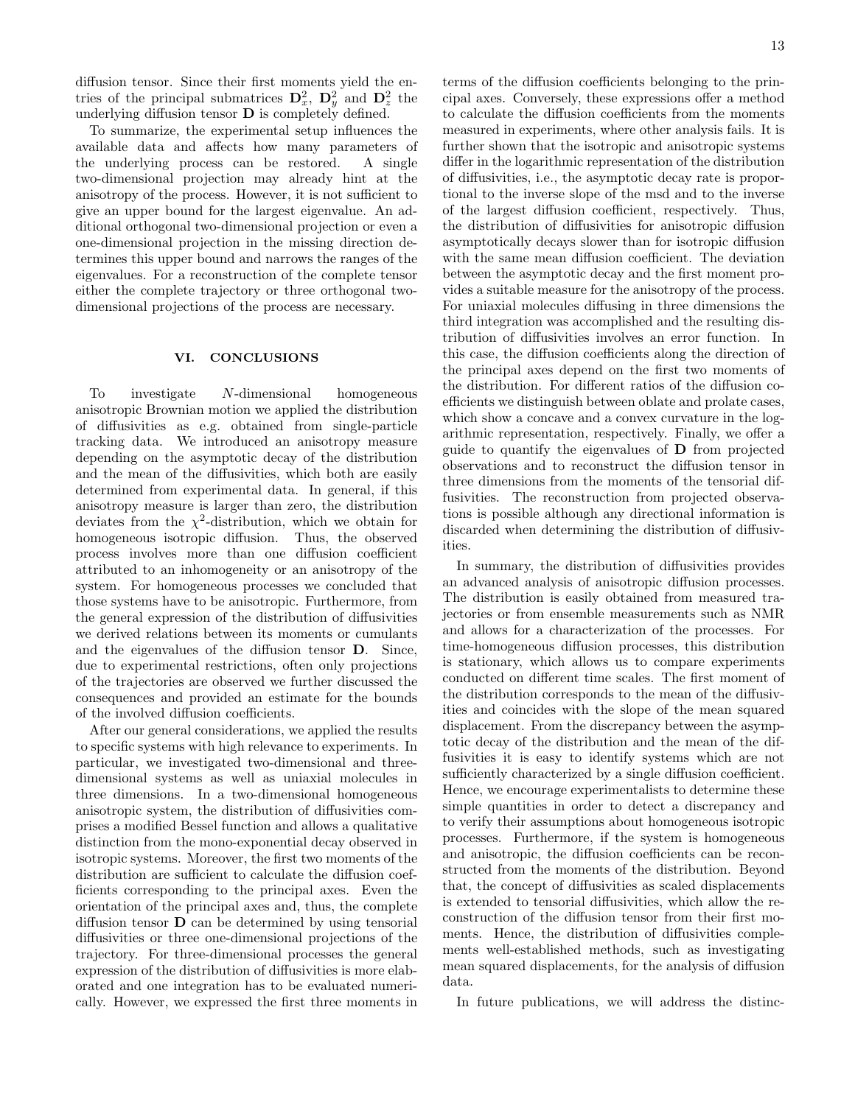diffusion tensor. Since their first moments yield the entries of the principal submatrices  $\mathbf{D}_x^2$ ,  $\mathbf{D}_y^2$  and  $\mathbf{D}_z^2$  the underlying diffusion tensor  **is completely defined.** 

To summarize, the experimental setup influences the available data and affects how many parameters of the underlying process can be restored. A single two-dimensional projection may already hint at the anisotropy of the process. However, it is not sufficient to give an upper bound for the largest eigenvalue. An additional orthogonal two-dimensional projection or even a one-dimensional projection in the missing direction determines this upper bound and narrows the ranges of the eigenvalues. For a reconstruction of the complete tensor either the complete trajectory or three orthogonal twodimensional projections of the process are necessary.

# VI. CONCLUSIONS

To investigate N-dimensional homogeneous anisotropic Brownian motion we applied the distribution of diffusivities as e.g. obtained from single-particle tracking data. We introduced an anisotropy measure depending on the asymptotic decay of the distribution and the mean of the diffusivities, which both are easily determined from experimental data. In general, if this anisotropy measure is larger than zero, the distribution deviates from the  $\chi^2$ -distribution, which we obtain for homogeneous isotropic diffusion. Thus, the observed process involves more than one diffusion coefficient attributed to an inhomogeneity or an anisotropy of the system. For homogeneous processes we concluded that those systems have to be anisotropic. Furthermore, from the general expression of the distribution of diffusivities we derived relations between its moments or cumulants and the eigenvalues of the diffusion tensor D. Since, due to experimental restrictions, often only projections of the trajectories are observed we further discussed the consequences and provided an estimate for the bounds of the involved diffusion coefficients.

After our general considerations, we applied the results to specific systems with high relevance to experiments. In particular, we investigated two-dimensional and threedimensional systems as well as uniaxial molecules in three dimensions. In a two-dimensional homogeneous anisotropic system, the distribution of diffusivities comprises a modified Bessel function and allows a qualitative distinction from the mono-exponential decay observed in isotropic systems. Moreover, the first two moments of the distribution are sufficient to calculate the diffusion coefficients corresponding to the principal axes. Even the orientation of the principal axes and, thus, the complete diffusion tensor D can be determined by using tensorial diffusivities or three one-dimensional projections of the trajectory. For three-dimensional processes the general expression of the distribution of diffusivities is more elaborated and one integration has to be evaluated numerically. However, we expressed the first three moments in terms of the diffusion coefficients belonging to the principal axes. Conversely, these expressions offer a method to calculate the diffusion coefficients from the moments measured in experiments, where other analysis fails. It is further shown that the isotropic and anisotropic systems differ in the logarithmic representation of the distribution of diffusivities, i.e., the asymptotic decay rate is proportional to the inverse slope of the msd and to the inverse of the largest diffusion coefficient, respectively. Thus, the distribution of diffusivities for anisotropic diffusion asymptotically decays slower than for isotropic diffusion with the same mean diffusion coefficient. The deviation between the asymptotic decay and the first moment provides a suitable measure for the anisotropy of the process. For uniaxial molecules diffusing in three dimensions the third integration was accomplished and the resulting distribution of diffusivities involves an error function. In this case, the diffusion coefficients along the direction of the principal axes depend on the first two moments of the distribution. For different ratios of the diffusion coefficients we distinguish between oblate and prolate cases, which show a concave and a convex curvature in the logarithmic representation, respectively. Finally, we offer a guide to quantify the eigenvalues of D from projected observations and to reconstruct the diffusion tensor in three dimensions from the moments of the tensorial diffusivities. The reconstruction from projected observations is possible although any directional information is discarded when determining the distribution of diffusivities.

In summary, the distribution of diffusivities provides an advanced analysis of anisotropic diffusion processes. The distribution is easily obtained from measured trajectories or from ensemble measurements such as NMR and allows for a characterization of the processes. For time-homogeneous diffusion processes, this distribution is stationary, which allows us to compare experiments conducted on different time scales. The first moment of the distribution corresponds to the mean of the diffusivities and coincides with the slope of the mean squared displacement. From the discrepancy between the asymptotic decay of the distribution and the mean of the diffusivities it is easy to identify systems which are not sufficiently characterized by a single diffusion coefficient. Hence, we encourage experimentalists to determine these simple quantities in order to detect a discrepancy and to verify their assumptions about homogeneous isotropic processes. Furthermore, if the system is homogeneous and anisotropic, the diffusion coefficients can be reconstructed from the moments of the distribution. Beyond that, the concept of diffusivities as scaled displacements is extended to tensorial diffusivities, which allow the reconstruction of the diffusion tensor from their first moments. Hence, the distribution of diffusivities complements well-established methods, such as investigating mean squared displacements, for the analysis of diffusion data.

In future publications, we will address the distinc-